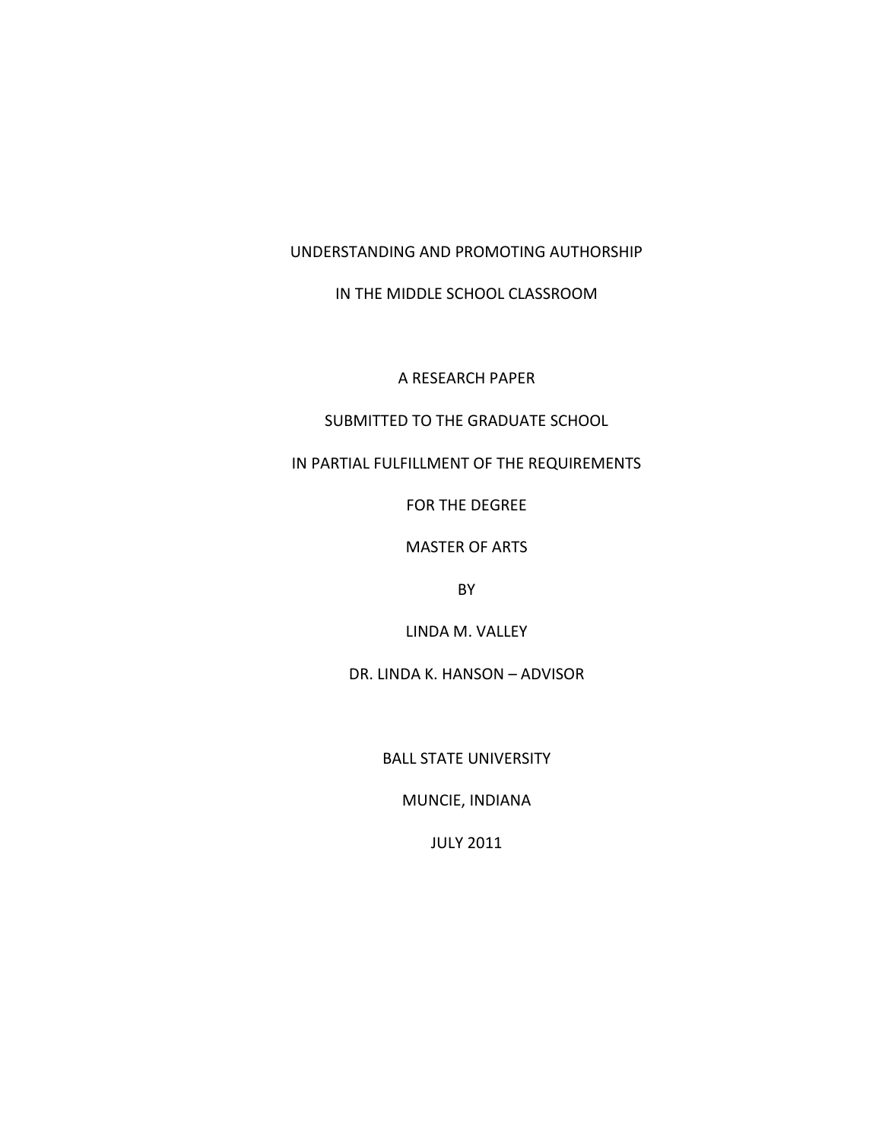UNDERSTANDING AND PROMOTING AUTHORSHIP

IN THE MIDDLE SCHOOL CLASSROOM

A RESEARCH PAPER

SUBMITTED TO THE GRADUATE SCHOOL

IN PARTIAL FULFILLMENT OF THE REQUIREMENTS

FOR THE DEGREE

MASTER OF ARTS

BY

LINDA M. VALLEY

DR. LINDA K. HANSON – ADVISOR

BALL STATE UNIVERSITY

MUNCIE, INDIANA

JULY 2011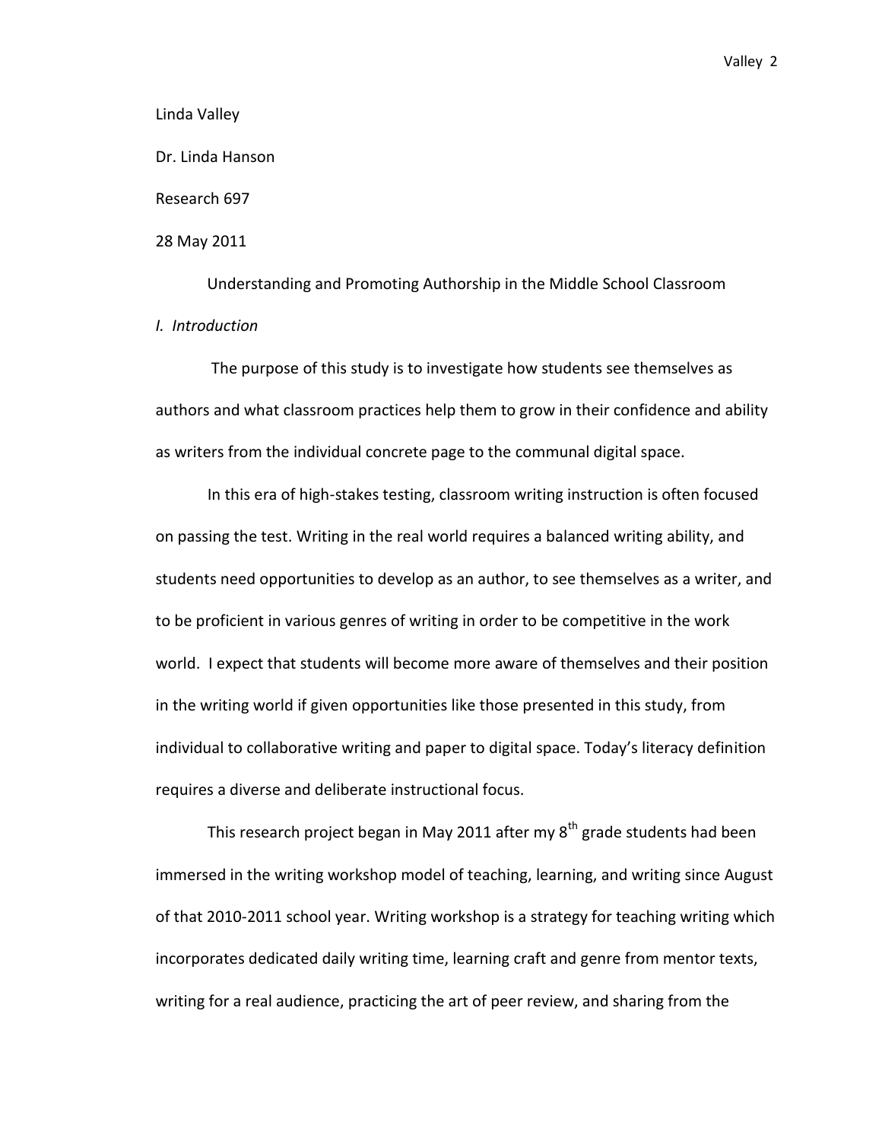Linda Valley

Dr. Linda Hanson

Research 697

28 May 2011

Understanding and Promoting Authorship in the Middle School Classroom *I. Introduction*

The purpose of this study is to investigate how students see themselves as authors and what classroom practices help them to grow in their confidence and ability as writers from the individual concrete page to the communal digital space.

In this era of high-stakes testing, classroom writing instruction is often focused on passing the test. Writing in the real world requires a balanced writing ability, and students need opportunities to develop as an author, to see themselves as a writer, and to be proficient in various genres of writing in order to be competitive in the work world. I expect that students will become more aware of themselves and their position in the writing world if given opportunities like those presented in this study, from individual to collaborative writing and paper to digital space. Today's literacy definition requires a diverse and deliberate instructional focus.

This research project began in May 2011 after my  $8<sup>th</sup>$  grade students had been immersed in the writing workshop model of teaching, learning, and writing since August of that 2010-2011 school year. Writing workshop is a strategy for teaching writing which incorporates dedicated daily writing time, learning craft and genre from mentor texts, writing for a real audience, practicing the art of peer review, and sharing from the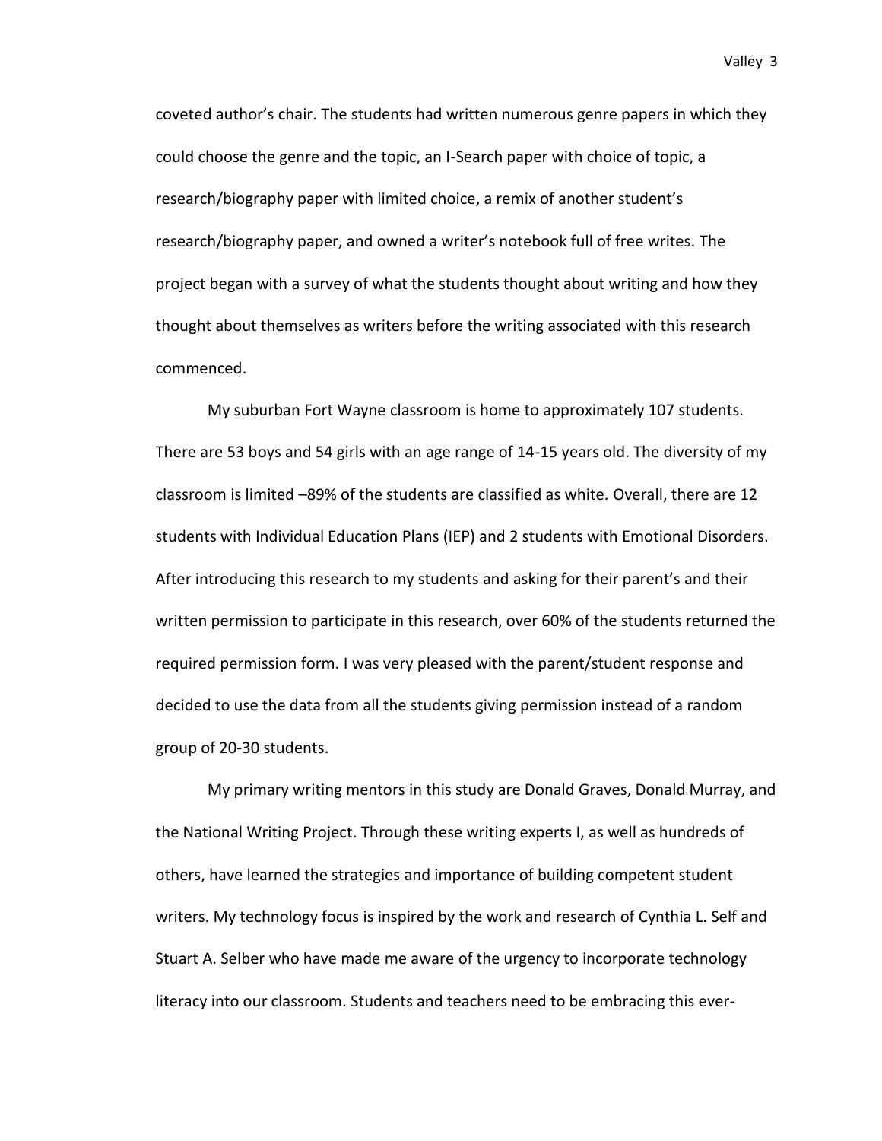coveted author's chair. The students had written numerous genre papers in which they could choose the genre and the topic, an I-Search paper with choice of topic, a research/biography paper with limited choice, a remix of another student's research/biography paper, and owned a writer's notebook full of free writes. The project began with a survey of what the students thought about writing and how they thought about themselves as writers before the writing associated with this research commenced.

My suburban Fort Wayne classroom is home to approximately 107 students. There are 53 boys and 54 girls with an age range of 14-15 years old. The diversity of my classroom is limited –89% of the students are classified as white. Overall, there are 12 students with Individual Education Plans (IEP) and 2 students with Emotional Disorders. After introducing this research to my students and asking for their parent's and their written permission to participate in this research, over 60% of the students returned the required permission form. I was very pleased with the parent/student response and decided to use the data from all the students giving permission instead of a random group of 20-30 students.

My primary writing mentors in this study are Donald Graves, Donald Murray, and the National Writing Project. Through these writing experts I, as well as hundreds of others, have learned the strategies and importance of building competent student writers. My technology focus is inspired by the work and research of Cynthia L. Self and Stuart A. Selber who have made me aware of the urgency to incorporate technology literacy into our classroom. Students and teachers need to be embracing this ever-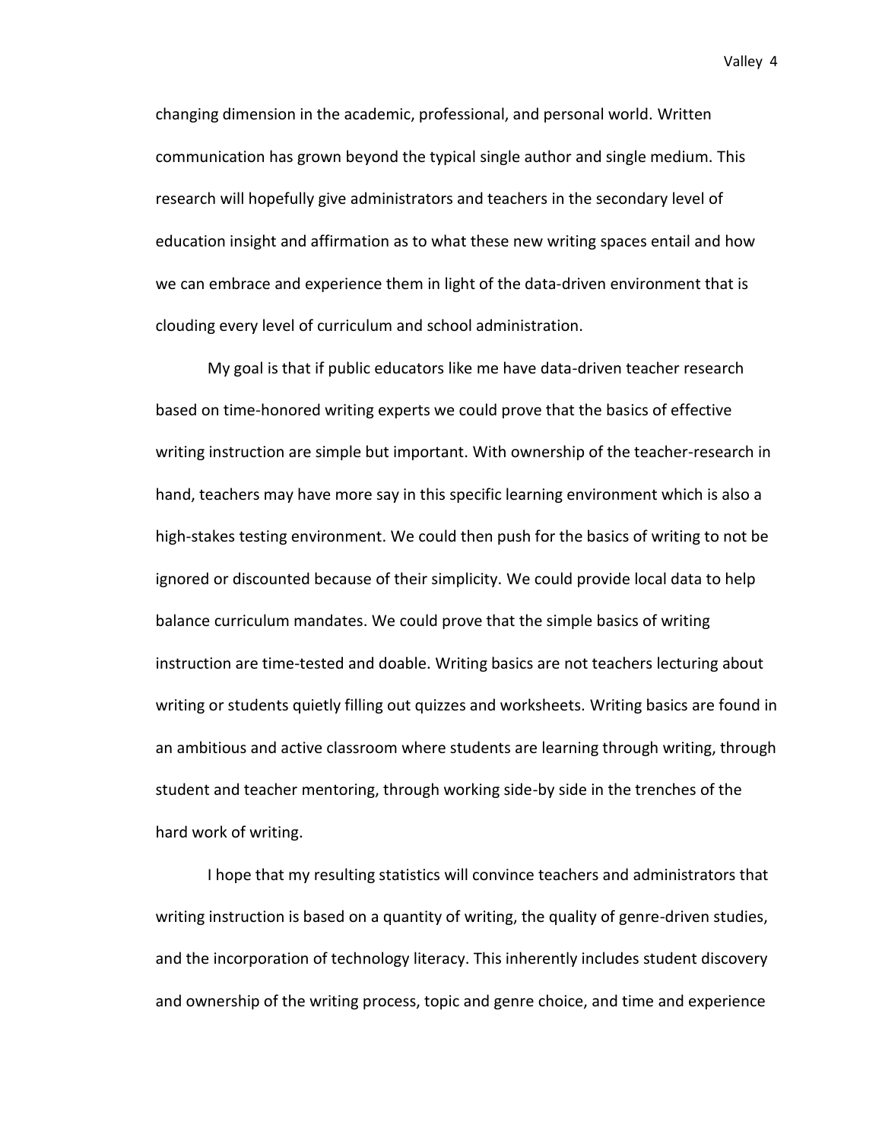changing dimension in the academic, professional, and personal world. Written communication has grown beyond the typical single author and single medium. This research will hopefully give administrators and teachers in the secondary level of education insight and affirmation as to what these new writing spaces entail and how we can embrace and experience them in light of the data-driven environment that is clouding every level of curriculum and school administration.

My goal is that if public educators like me have data-driven teacher research based on time-honored writing experts we could prove that the basics of effective writing instruction are simple but important. With ownership of the teacher-research in hand, teachers may have more say in this specific learning environment which is also a high-stakes testing environment. We could then push for the basics of writing to not be ignored or discounted because of their simplicity. We could provide local data to help balance curriculum mandates. We could prove that the simple basics of writing instruction are time-tested and doable. Writing basics are not teachers lecturing about writing or students quietly filling out quizzes and worksheets. Writing basics are found in an ambitious and active classroom where students are learning through writing, through student and teacher mentoring, through working side-by side in the trenches of the hard work of writing.

I hope that my resulting statistics will convince teachers and administrators that writing instruction is based on a quantity of writing, the quality of genre-driven studies, and the incorporation of technology literacy. This inherently includes student discovery and ownership of the writing process, topic and genre choice, and time and experience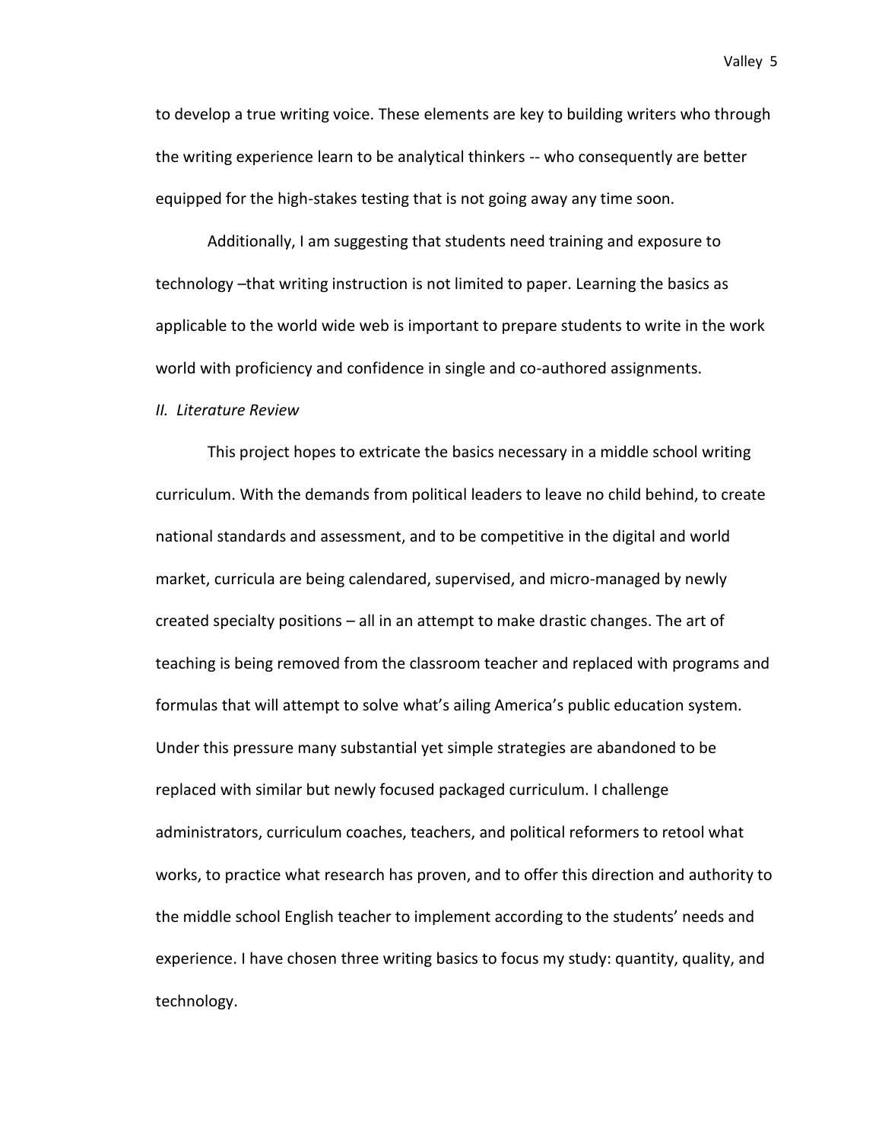to develop a true writing voice. These elements are key to building writers who through the writing experience learn to be analytical thinkers -- who consequently are better equipped for the high-stakes testing that is not going away any time soon.

Additionally, I am suggesting that students need training and exposure to technology –that writing instruction is not limited to paper. Learning the basics as applicable to the world wide web is important to prepare students to write in the work world with proficiency and confidence in single and co-authored assignments.

#### *II. Literature Review*

This project hopes to extricate the basics necessary in a middle school writing curriculum. With the demands from political leaders to leave no child behind, to create national standards and assessment, and to be competitive in the digital and world market, curricula are being calendared, supervised, and micro-managed by newly created specialty positions – all in an attempt to make drastic changes. The art of teaching is being removed from the classroom teacher and replaced with programs and formulas that will attempt to solve what's ailing America's public education system. Under this pressure many substantial yet simple strategies are abandoned to be replaced with similar but newly focused packaged curriculum. I challenge administrators, curriculum coaches, teachers, and political reformers to retool what works, to practice what research has proven, and to offer this direction and authority to the middle school English teacher to implement according to the students' needs and experience. I have chosen three writing basics to focus my study: quantity, quality, and technology.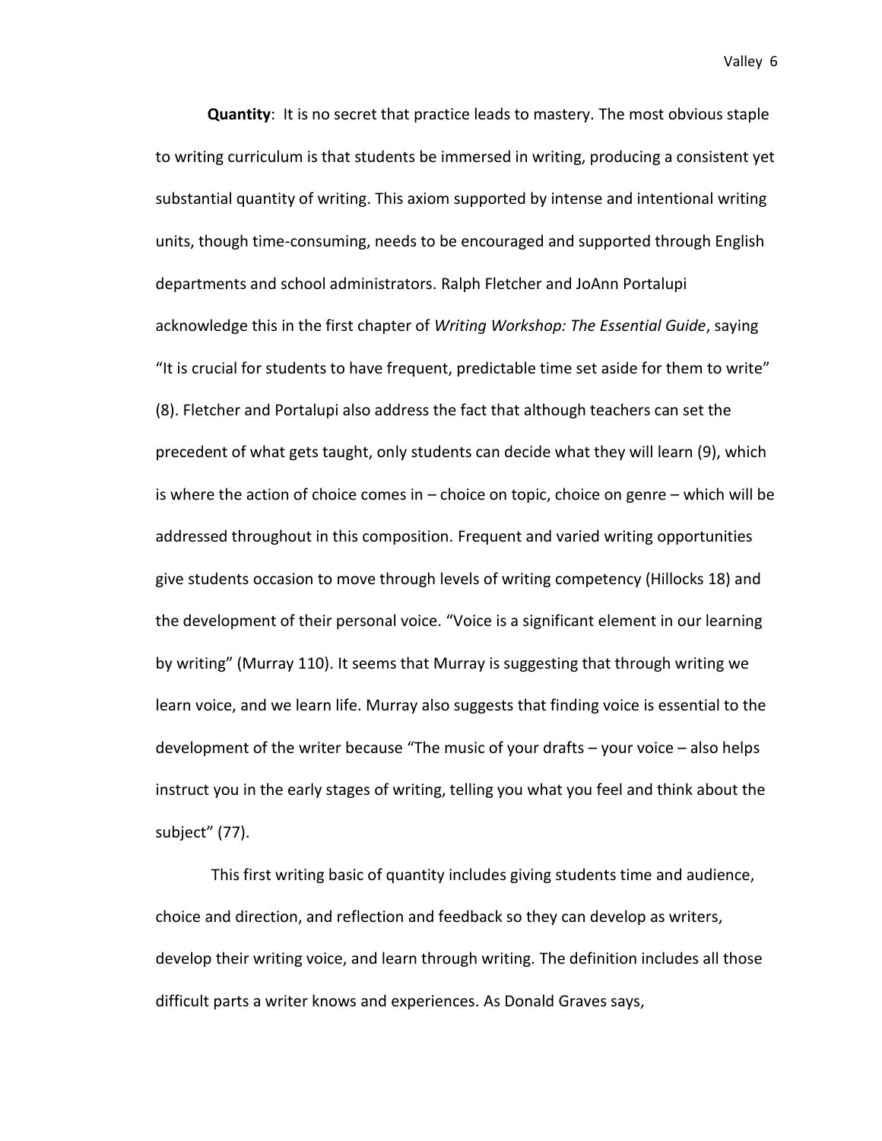**Quantity**: It is no secret that practice leads to mastery. The most obvious staple to writing curriculum is that students be immersed in writing, producing a consistent yet substantial quantity of writing. This axiom supported by intense and intentional writing units, though time-consuming, needs to be encouraged and supported through English departments and school administrators. Ralph Fletcher and JoAnn Portalupi acknowledge this in the first chapter of *Writing Workshop: The Essential Guide*, saying "It is crucial for students to have frequent, predictable time set aside for them to write" (8). Fletcher and Portalupi also address the fact that although teachers can set the precedent of what gets taught, only students can decide what they will learn (9), which is where the action of choice comes in – choice on topic, choice on genre – which will be addressed throughout in this composition. Frequent and varied writing opportunities give students occasion to move through levels of writing competency (Hillocks 18) and the development of their personal voice. "Voice is a significant element in our learning by writing" (Murray 110). It seems that Murray is suggesting that through writing we learn voice, and we learn life. Murray also suggests that finding voice is essential to the development of the writer because "The music of your drafts – your voice – also helps instruct you in the early stages of writing, telling you what you feel and think about the subject" (77).

This first writing basic of quantity includes giving students time and audience, choice and direction, and reflection and feedback so they can develop as writers, develop their writing voice, and learn through writing. The definition includes all those difficult parts a writer knows and experiences. As Donald Graves says,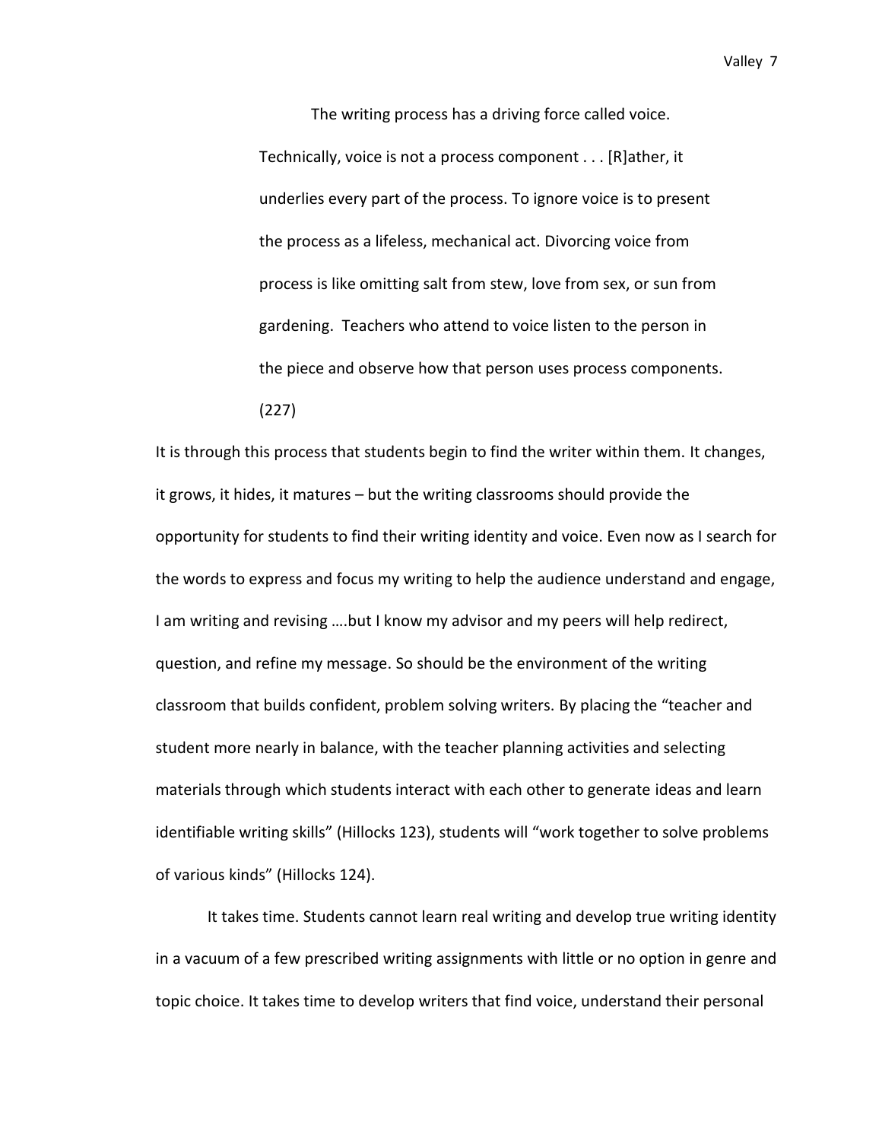The writing process has a driving force called voice. Technically, voice is not a process component . . . [R]ather, it underlies every part of the process. To ignore voice is to present the process as a lifeless, mechanical act. Divorcing voice from process is like omitting salt from stew, love from sex, or sun from gardening. Teachers who attend to voice listen to the person in the piece and observe how that person uses process components. (227)

It is through this process that students begin to find the writer within them. It changes, it grows, it hides, it matures – but the writing classrooms should provide the opportunity for students to find their writing identity and voice. Even now as I search for the words to express and focus my writing to help the audience understand and engage, I am writing and revising ….but I know my advisor and my peers will help redirect, question, and refine my message. So should be the environment of the writing classroom that builds confident, problem solving writers. By placing the "teacher and student more nearly in balance, with the teacher planning activities and selecting materials through which students interact with each other to generate ideas and learn identifiable writing skills" (Hillocks 123), students will "work together to solve problems of various kinds" (Hillocks 124).

It takes time. Students cannot learn real writing and develop true writing identity in a vacuum of a few prescribed writing assignments with little or no option in genre and topic choice. It takes time to develop writers that find voice, understand their personal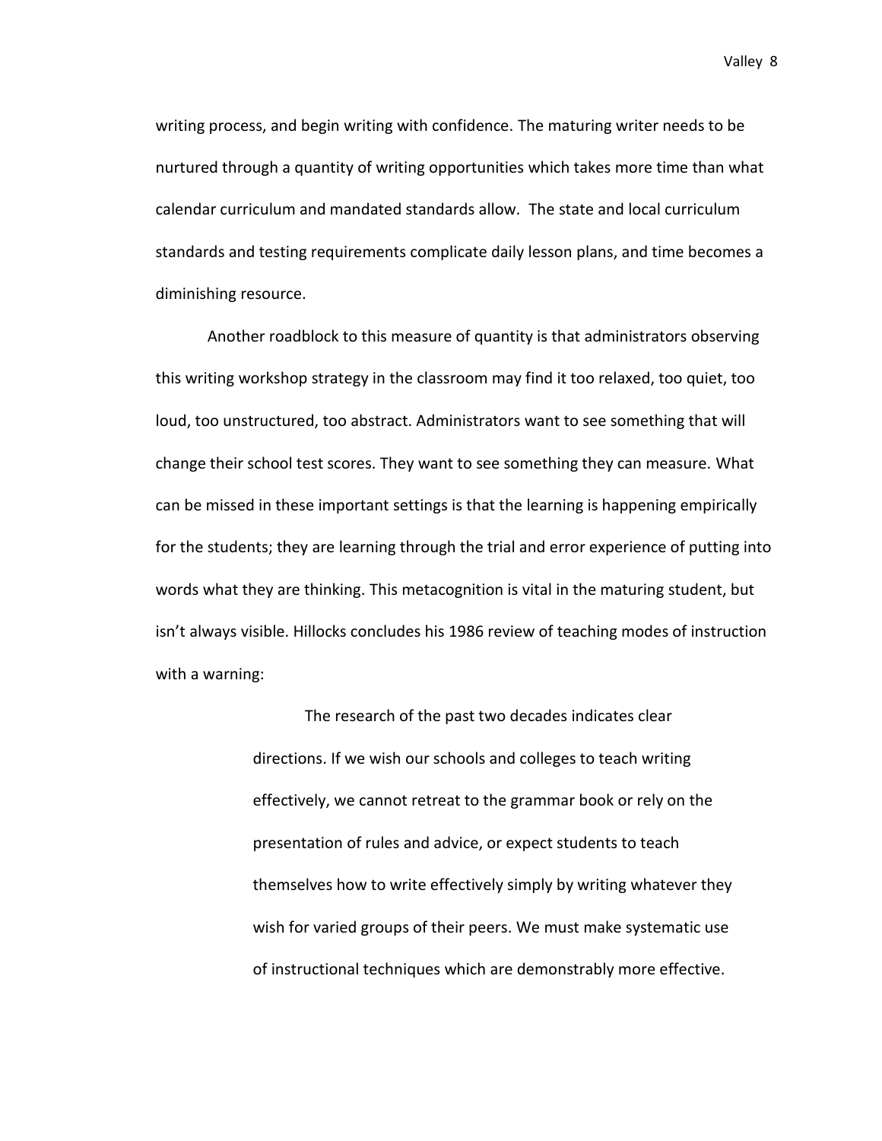writing process, and begin writing with confidence. The maturing writer needs to be nurtured through a quantity of writing opportunities which takes more time than what calendar curriculum and mandated standards allow. The state and local curriculum standards and testing requirements complicate daily lesson plans, and time becomes a diminishing resource.

Another roadblock to this measure of quantity is that administrators observing this writing workshop strategy in the classroom may find it too relaxed, too quiet, too loud, too unstructured, too abstract. Administrators want to see something that will change their school test scores. They want to see something they can measure. What can be missed in these important settings is that the learning is happening empirically for the students; they are learning through the trial and error experience of putting into words what they are thinking. This metacognition is vital in the maturing student, but isn't always visible. Hillocks concludes his 1986 review of teaching modes of instruction with a warning:

> The research of the past two decades indicates clear directions. If we wish our schools and colleges to teach writing effectively, we cannot retreat to the grammar book or rely on the presentation of rules and advice, or expect students to teach themselves how to write effectively simply by writing whatever they wish for varied groups of their peers. We must make systematic use of instructional techniques which are demonstrably more effective.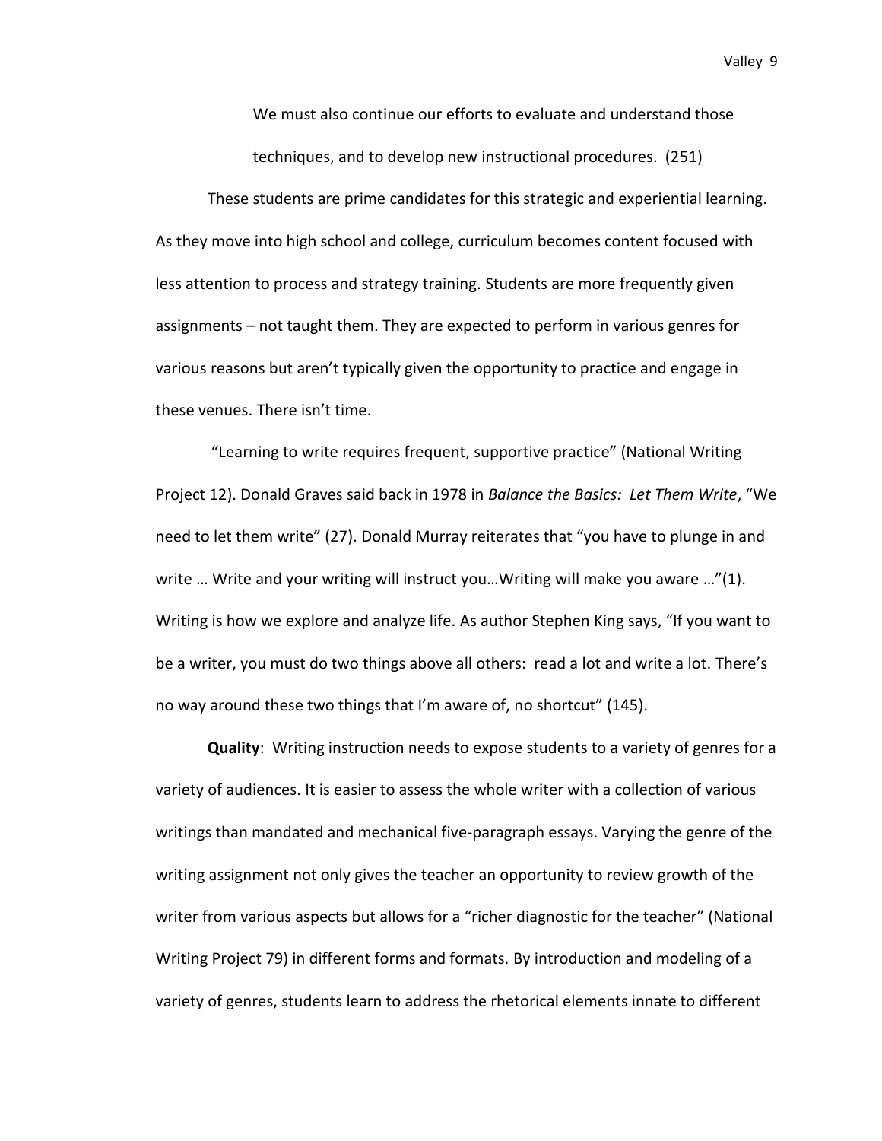We must also continue our efforts to evaluate and understand those techniques, and to develop new instructional procedures. (251)

These students are prime candidates for this strategic and experiential learning. As they move into high school and college, curriculum becomes content focused with less attention to process and strategy training. Students are more frequently given assignments – not taught them. They are expected to perform in various genres for various reasons but aren't typically given the opportunity to practice and engage in these venues. There isn't time.

"Learning to write requires frequent, supportive practice" (National Writing Project 12). Donald Graves said back in 1978 in *Balance the Basics: Let Them Write*, "We need to let them write" (27). Donald Murray reiterates that "you have to plunge in and write … Write and your writing will instruct you…Writing will make you aware …"(1). Writing is how we explore and analyze life. As author Stephen King says, "If you want to be a writer, you must do two things above all others: read a lot and write a lot. There's no way around these two things that I'm aware of, no shortcut" (145).

**Quality**: Writing instruction needs to expose students to a variety of genres for a variety of audiences. It is easier to assess the whole writer with a collection of various writings than mandated and mechanical five-paragraph essays. Varying the genre of the writing assignment not only gives the teacher an opportunity to review growth of the writer from various aspects but allows for a "richer diagnostic for the teacher" (National Writing Project 79) in different forms and formats. By introduction and modeling of a variety of genres, students learn to address the rhetorical elements innate to different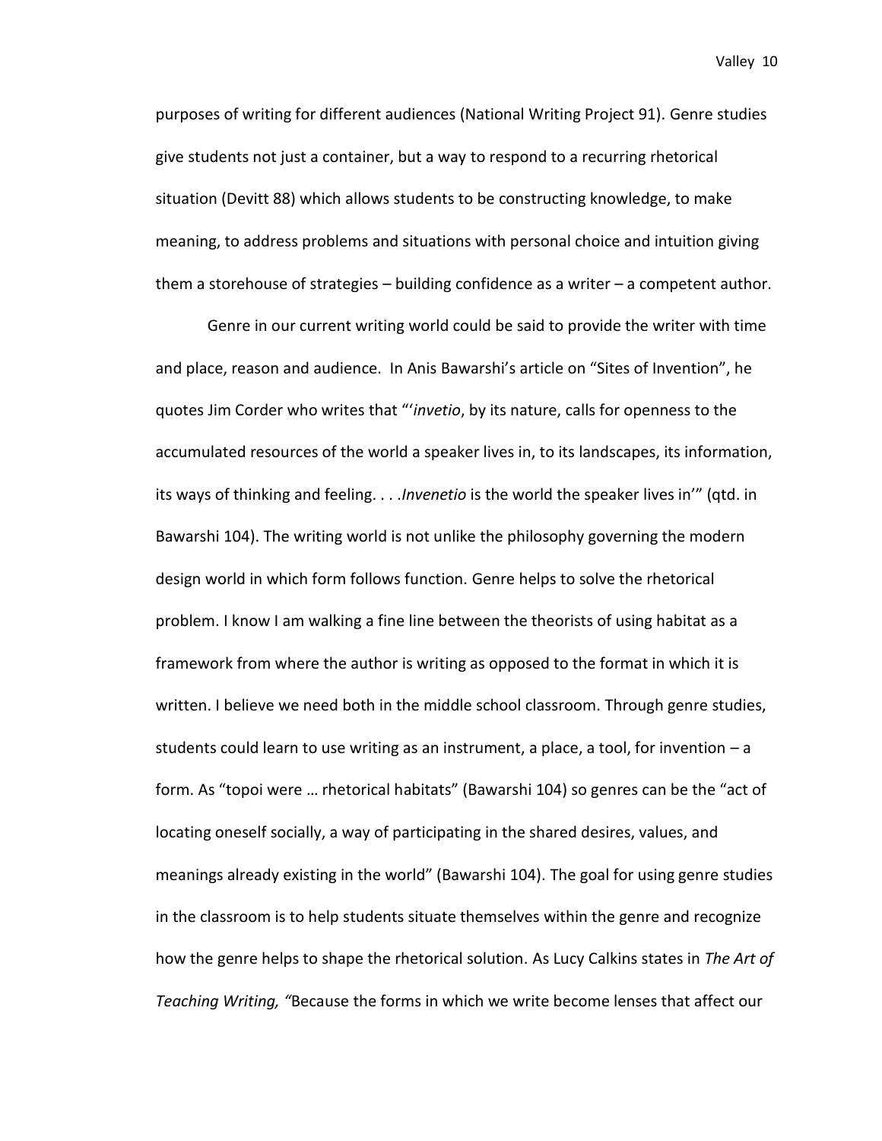purposes of writing for different audiences (National Writing Project 91). Genre studies give students not just a container, but a way to respond to a recurring rhetorical situation (Devitt 88) which allows students to be constructing knowledge, to make meaning, to address problems and situations with personal choice and intuition giving them a storehouse of strategies – building confidence as a writer – a competent author.

Genre in our current writing world could be said to provide the writer with time and place, reason and audience. In Anis Bawarshi's article on "Sites of Invention", he quotes Jim Corder who writes that "'*invetio*, by its nature, calls for openness to the accumulated resources of the world a speaker lives in, to its landscapes, its information, its ways of thinking and feeling. . . .*Invenetio* is the world the speaker lives in'" (qtd. in Bawarshi 104). The writing world is not unlike the philosophy governing the modern design world in which form follows function. Genre helps to solve the rhetorical problem. I know I am walking a fine line between the theorists of using habitat as a framework from where the author is writing as opposed to the format in which it is written. I believe we need both in the middle school classroom. Through genre studies, students could learn to use writing as an instrument, a place, a tool, for invention – a form. As "topoi were … rhetorical habitats" (Bawarshi 104) so genres can be the "act of locating oneself socially, a way of participating in the shared desires, values, and meanings already existing in the world" (Bawarshi 104). The goal for using genre studies in the classroom is to help students situate themselves within the genre and recognize how the genre helps to shape the rhetorical solution. As Lucy Calkins states in *The Art of Teaching Writing, "*Because the forms in which we write become lenses that affect our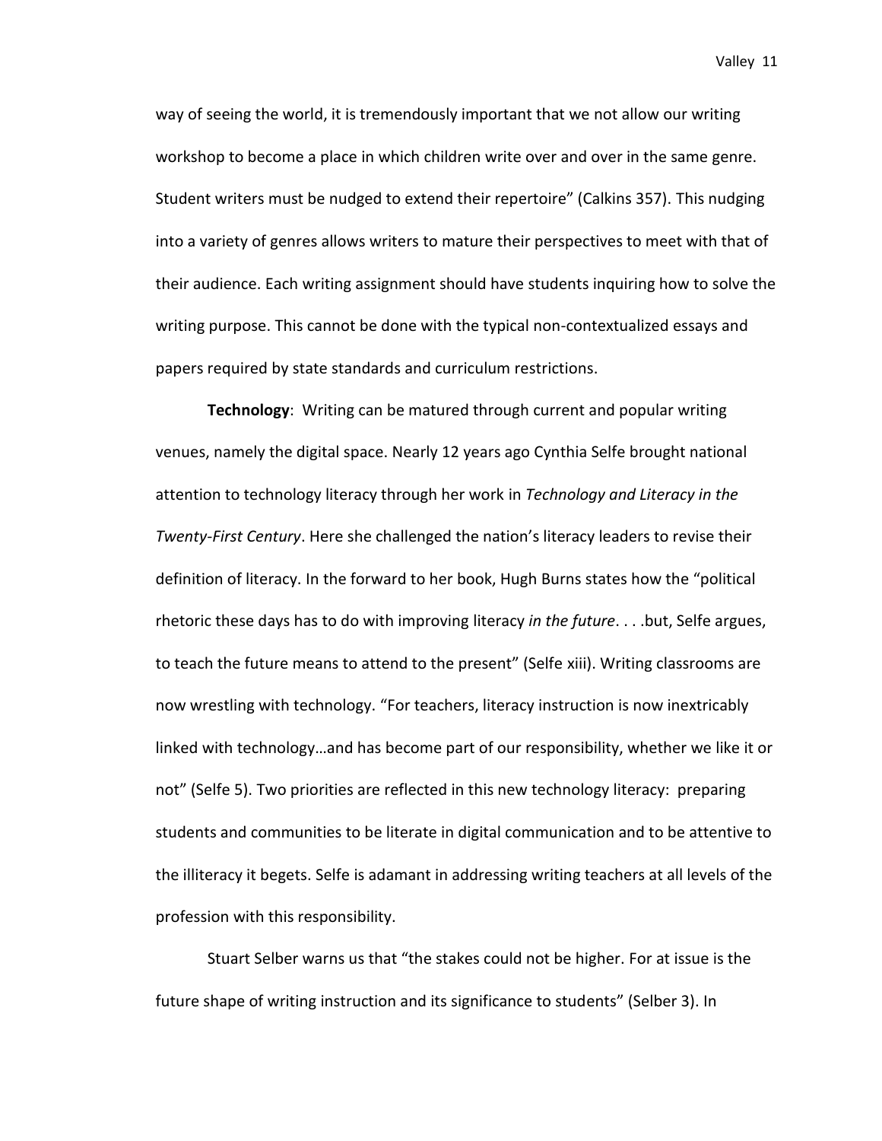way of seeing the world, it is tremendously important that we not allow our writing workshop to become a place in which children write over and over in the same genre. Student writers must be nudged to extend their repertoire" (Calkins 357). This nudging into a variety of genres allows writers to mature their perspectives to meet with that of their audience. Each writing assignment should have students inquiring how to solve the writing purpose. This cannot be done with the typical non-contextualized essays and papers required by state standards and curriculum restrictions.

**Technology**: Writing can be matured through current and popular writing venues, namely the digital space. Nearly 12 years ago Cynthia Selfe brought national attention to technology literacy through her work in *Technology and Literacy in the Twenty-First Century*. Here she challenged the nation's literacy leaders to revise their definition of literacy. In the forward to her book, Hugh Burns states how the "political rhetoric these days has to do with improving literacy *in the future*. . . .but, Selfe argues, to teach the future means to attend to the present" (Selfe xiii). Writing classrooms are now wrestling with technology. "For teachers, literacy instruction is now inextricably linked with technology…and has become part of our responsibility, whether we like it or not" (Selfe 5). Two priorities are reflected in this new technology literacy: preparing students and communities to be literate in digital communication and to be attentive to the illiteracy it begets. Selfe is adamant in addressing writing teachers at all levels of the profession with this responsibility.

Stuart Selber warns us that "the stakes could not be higher. For at issue is the future shape of writing instruction and its significance to students" (Selber 3). In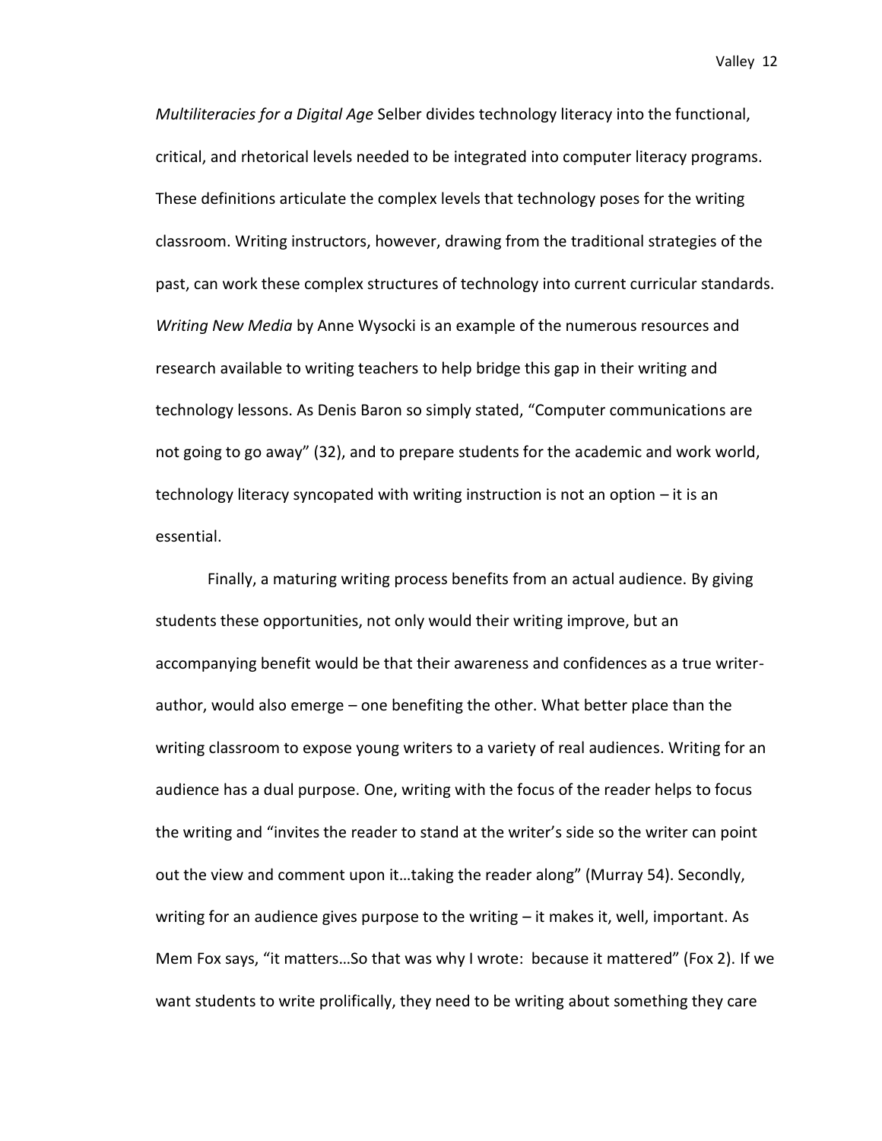*Multiliteracies for a Digital Age* Selber divides technology literacy into the functional, critical, and rhetorical levels needed to be integrated into computer literacy programs. These definitions articulate the complex levels that technology poses for the writing classroom. Writing instructors, however, drawing from the traditional strategies of the past, can work these complex structures of technology into current curricular standards. *Writing New Media* by Anne Wysocki is an example of the numerous resources and research available to writing teachers to help bridge this gap in their writing and technology lessons. As Denis Baron so simply stated, "Computer communications are not going to go away" (32), and to prepare students for the academic and work world, technology literacy syncopated with writing instruction is not an option – it is an essential.

Finally, a maturing writing process benefits from an actual audience. By giving students these opportunities, not only would their writing improve, but an accompanying benefit would be that their awareness and confidences as a true writerauthor, would also emerge – one benefiting the other. What better place than the writing classroom to expose young writers to a variety of real audiences. Writing for an audience has a dual purpose. One, writing with the focus of the reader helps to focus the writing and "invites the reader to stand at the writer's side so the writer can point out the view and comment upon it…taking the reader along" (Murray 54). Secondly, writing for an audience gives purpose to the writing – it makes it, well, important. As Mem Fox says, "it matters…So that was why I wrote: because it mattered" (Fox 2). If we want students to write prolifically, they need to be writing about something they care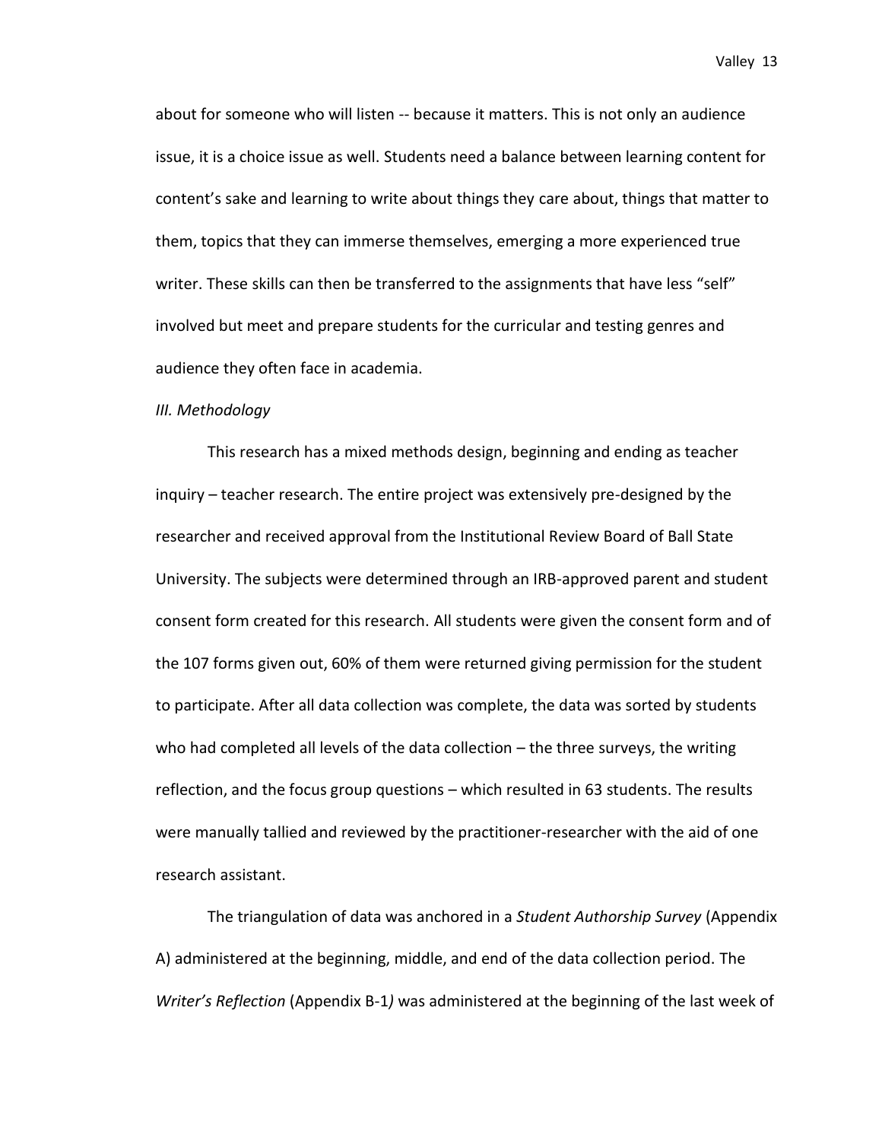about for someone who will listen -- because it matters. This is not only an audience issue, it is a choice issue as well. Students need a balance between learning content for content's sake and learning to write about things they care about, things that matter to them, topics that they can immerse themselves, emerging a more experienced true writer. These skills can then be transferred to the assignments that have less "self" involved but meet and prepare students for the curricular and testing genres and audience they often face in academia.

### *III. Methodology*

This research has a mixed methods design, beginning and ending as teacher inquiry – teacher research. The entire project was extensively pre-designed by the researcher and received approval from the Institutional Review Board of Ball State University. The subjects were determined through an IRB-approved parent and student consent form created for this research. All students were given the consent form and of the 107 forms given out, 60% of them were returned giving permission for the student to participate. After all data collection was complete, the data was sorted by students who had completed all levels of the data collection – the three surveys, the writing reflection, and the focus group questions – which resulted in 63 students. The results were manually tallied and reviewed by the practitioner-researcher with the aid of one research assistant.

The triangulation of data was anchored in a *Student Authorship Survey* (Appendix A) administered at the beginning, middle, and end of the data collection period. The *Writer's Reflection* (Appendix B-1*)* was administered at the beginning of the last week of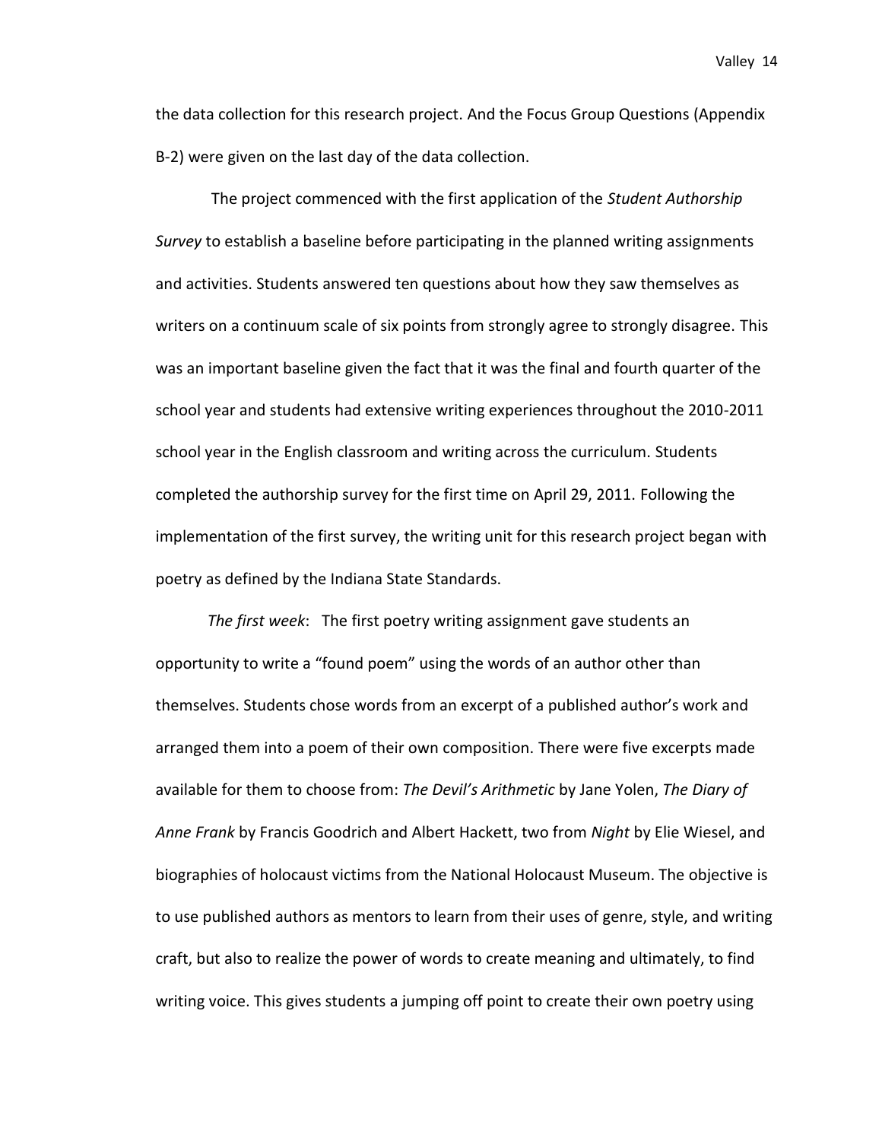the data collection for this research project. And the Focus Group Questions (Appendix B-2) were given on the last day of the data collection.

The project commenced with the first application of the *Student Authorship Survey* to establish a baseline before participating in the planned writing assignments and activities. Students answered ten questions about how they saw themselves as writers on a continuum scale of six points from strongly agree to strongly disagree. This was an important baseline given the fact that it was the final and fourth quarter of the school year and students had extensive writing experiences throughout the 2010-2011 school year in the English classroom and writing across the curriculum. Students completed the authorship survey for the first time on April 29, 2011. Following the implementation of the first survey, the writing unit for this research project began with poetry as defined by the Indiana State Standards.

*The first week*: The first poetry writing assignment gave students an opportunity to write a "found poem" using the words of an author other than themselves. Students chose words from an excerpt of a published author's work and arranged them into a poem of their own composition. There were five excerpts made available for them to choose from: *The Devil's Arithmetic* by Jane Yolen, *The Diary of Anne Frank* by Francis Goodrich and Albert Hackett, two from *Night* by Elie Wiesel, and biographies of holocaust victims from the National Holocaust Museum. The objective is to use published authors as mentors to learn from their uses of genre, style, and writing craft, but also to realize the power of words to create meaning and ultimately, to find writing voice. This gives students a jumping off point to create their own poetry using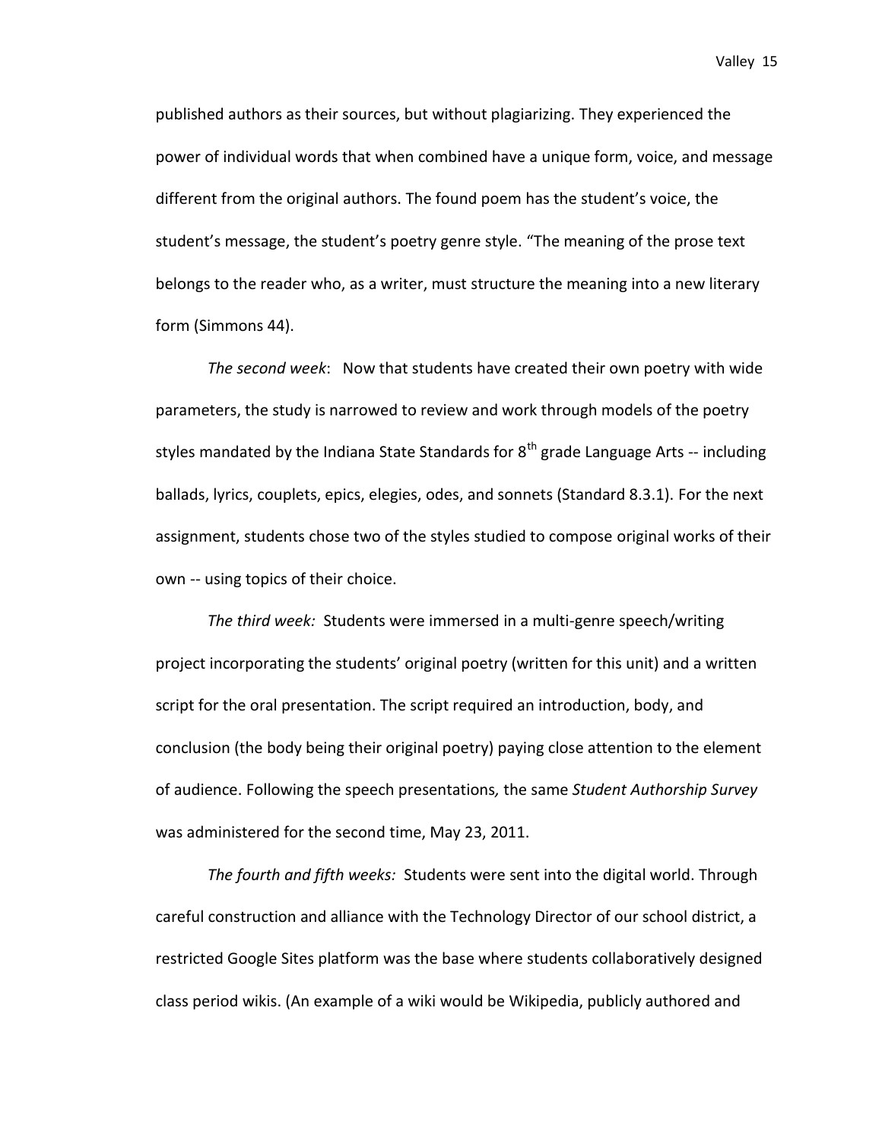published authors as their sources, but without plagiarizing. They experienced the power of individual words that when combined have a unique form, voice, and message different from the original authors. The found poem has the student's voice, the student's message, the student's poetry genre style. "The meaning of the prose text belongs to the reader who, as a writer, must structure the meaning into a new literary form (Simmons 44).

*The second week*: Now that students have created their own poetry with wide parameters, the study is narrowed to review and work through models of the poetry styles mandated by the Indiana State Standards for  $8<sup>th</sup>$  grade Language Arts -- including ballads, lyrics, couplets, epics, elegies, odes, and sonnets (Standard 8.3.1). For the next assignment, students chose two of the styles studied to compose original works of their own -- using topics of their choice.

*The third week:* Students were immersed in a multi-genre speech/writing project incorporating the students' original poetry (written for this unit) and a written script for the oral presentation. The script required an introduction, body, and conclusion (the body being their original poetry) paying close attention to the element of audience. Following the speech presentations*,* the same *Student Authorship Survey* was administered for the second time, May 23, 2011.

*The fourth and fifth weeks:* Students were sent into the digital world. Through careful construction and alliance with the Technology Director of our school district, a restricted Google Sites platform was the base where students collaboratively designed class period wikis. (An example of a wiki would be Wikipedia, publicly authored and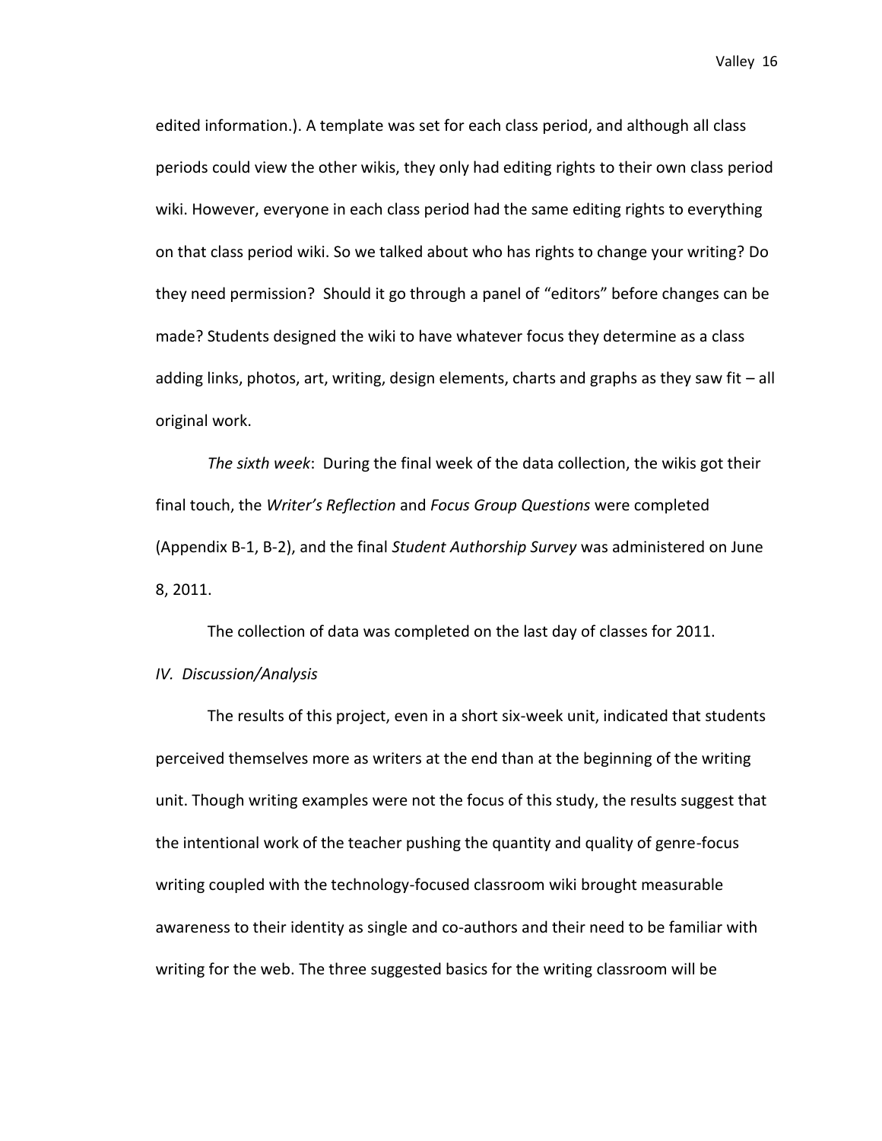edited information.). A template was set for each class period, and although all class periods could view the other wikis, they only had editing rights to their own class period wiki. However, everyone in each class period had the same editing rights to everything on that class period wiki. So we talked about who has rights to change your writing? Do they need permission? Should it go through a panel of "editors" before changes can be made? Students designed the wiki to have whatever focus they determine as a class adding links, photos, art, writing, design elements, charts and graphs as they saw fit – all original work.

*The sixth week*: During the final week of the data collection, the wikis got their final touch, the *Writer's Reflection* and *Focus Group Questions* were completed (Appendix B-1, B-2), and the final *Student Authorship Survey* was administered on June 8, 2011.

The collection of data was completed on the last day of classes for 2011.

*IV. Discussion/Analysis*

The results of this project, even in a short six-week unit, indicated that students perceived themselves more as writers at the end than at the beginning of the writing unit. Though writing examples were not the focus of this study, the results suggest that the intentional work of the teacher pushing the quantity and quality of genre-focus writing coupled with the technology-focused classroom wiki brought measurable awareness to their identity as single and co-authors and their need to be familiar with writing for the web. The three suggested basics for the writing classroom will be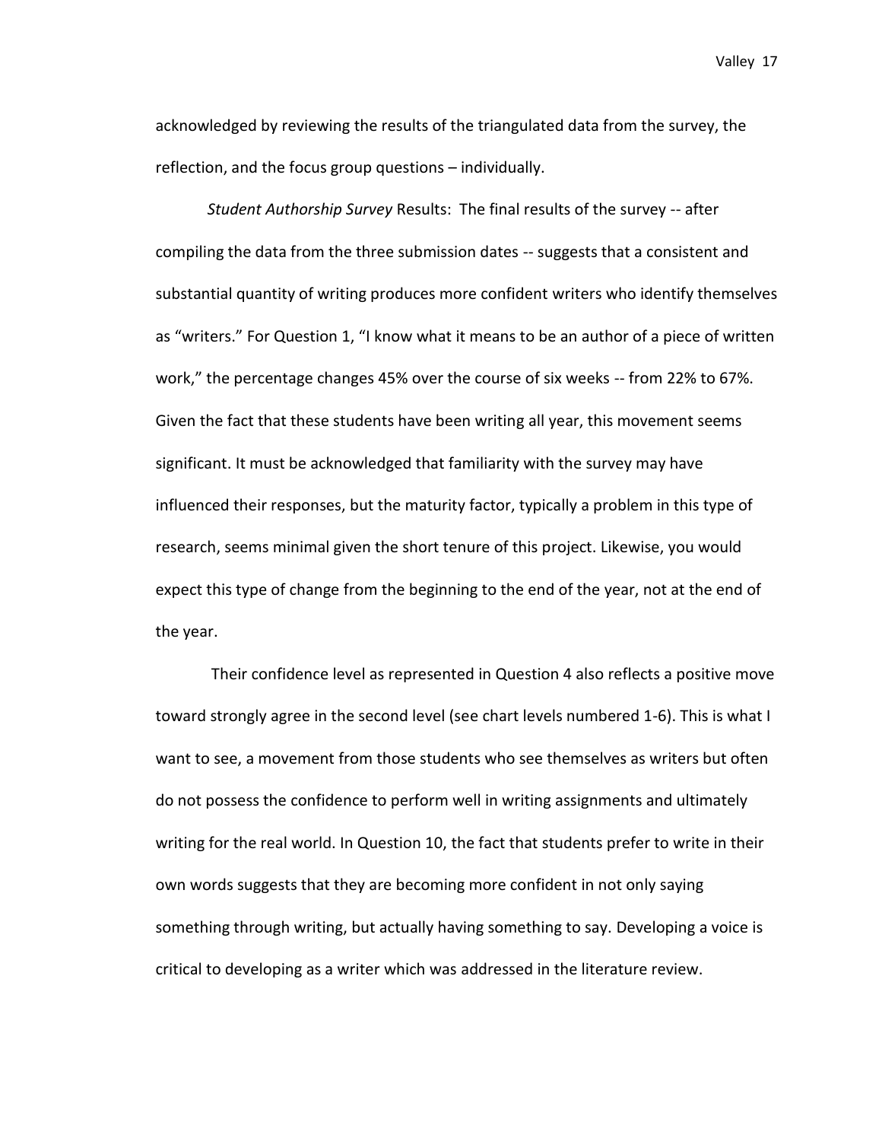acknowledged by reviewing the results of the triangulated data from the survey, the reflection, and the focus group questions – individually.

*Student Authorship Survey* Results: The final results of the survey -- after compiling the data from the three submission dates -- suggests that a consistent and substantial quantity of writing produces more confident writers who identify themselves as "writers." For Question 1, "I know what it means to be an author of a piece of written work," the percentage changes 45% over the course of six weeks -- from 22% to 67%. Given the fact that these students have been writing all year, this movement seems significant. It must be acknowledged that familiarity with the survey may have influenced their responses, but the maturity factor, typically a problem in this type of research, seems minimal given the short tenure of this project. Likewise, you would expect this type of change from the beginning to the end of the year, not at the end of the year.

Their confidence level as represented in Question 4 also reflects a positive move toward strongly agree in the second level (see chart levels numbered 1-6). This is what I want to see, a movement from those students who see themselves as writers but often do not possess the confidence to perform well in writing assignments and ultimately writing for the real world. In Question 10, the fact that students prefer to write in their own words suggests that they are becoming more confident in not only saying something through writing, but actually having something to say. Developing a voice is critical to developing as a writer which was addressed in the literature review.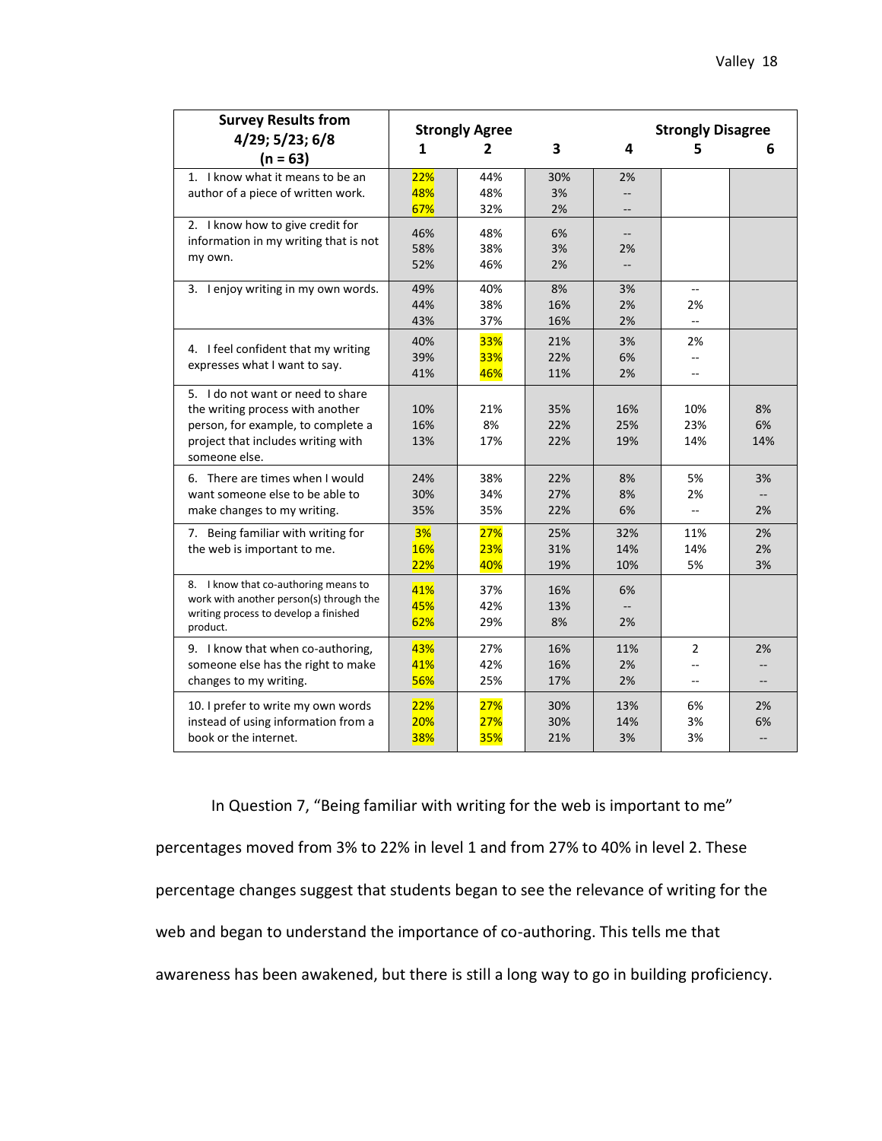| <b>Survey Results from</b><br>4/29; 5/23; 6/8                                                                                                                      | <b>Strongly Agree</b> |                          |                   | <b>Strongly Disagree</b> |                              |                                      |  |
|--------------------------------------------------------------------------------------------------------------------------------------------------------------------|-----------------------|--------------------------|-------------------|--------------------------|------------------------------|--------------------------------------|--|
| $(n = 63)$                                                                                                                                                         | 1                     | 2                        | 3                 | 4                        | 5                            | 6                                    |  |
| 1. I know what it means to be an<br>author of a piece of written work.                                                                                             | 22%<br>48%<br>67%     | 44%<br>48%<br>32%        | 30%<br>3%<br>2%   | 2%<br>--                 |                              |                                      |  |
| 2. I know how to give credit for<br>information in my writing that is not<br>my own.                                                                               | 46%<br>58%<br>52%     | 48%<br>38%<br>46%        | 6%<br>3%<br>2%    | 2%<br>--                 |                              |                                      |  |
| 3. I enjoy writing in my own words.                                                                                                                                | 49%<br>44%<br>43%     | 40%<br>38%<br>37%        | 8%<br>16%<br>16%  | 3%<br>2%<br>2%           | $\overline{a}$<br>2%         |                                      |  |
| 4. I feel confident that my writing<br>expresses what I want to say.                                                                                               | 40%<br>39%<br>41%     | 33%<br>33%<br>46%        | 21%<br>22%<br>11% | 3%<br>6%<br>2%           | 2%<br>Щ,<br>$\sim$           |                                      |  |
| 5. I do not want or need to share<br>the writing process with another<br>person, for example, to complete a<br>project that includes writing with<br>someone else. | 10%<br>16%<br>13%     | 21%<br>8%<br>17%         | 35%<br>22%<br>22% | 16%<br>25%<br>19%        | 10%<br>23%<br>14%            | 8%<br>6%<br>14%                      |  |
| 6. There are times when I would<br>want someone else to be able to<br>make changes to my writing.                                                                  | 24%<br>30%<br>35%     | 38%<br>34%<br>35%        | 22%<br>27%<br>22% | 8%<br>8%<br>6%           | 5%<br>2%<br>--               | 3%<br>$\overline{\phantom{a}}$<br>2% |  |
| 7. Being familiar with writing for<br>the web is important to me.                                                                                                  | 3%<br>16%<br>22%      | 27%<br>23%<br>40%        | 25%<br>31%<br>19% | 32%<br>14%<br>10%        | 11%<br>14%<br>5%             | 2%<br>2%<br>3%                       |  |
| 8. I know that co-authoring means to<br>work with another person(s) through the<br>writing process to develop a finished<br>product.                               | 41%<br>45%<br>62%     | 37%<br>42%<br>29%        | 16%<br>13%<br>8%  | 6%<br>$-$<br>2%          |                              |                                      |  |
| 9. I know that when co-authoring,<br>someone else has the right to make<br>changes to my writing.                                                                  | 43%<br>41%<br>56%     | 27%<br>42%<br>25%        | 16%<br>16%<br>17% | 11%<br>2%<br>2%          | $\overline{2}$<br>$-$<br>$-$ | 2%<br>$-$                            |  |
| 10. I prefer to write my own words<br>instead of using information from a<br>book or the internet.                                                                 | 22%<br>20%<br>38%     | 27%<br>27%<br><b>35%</b> | 30%<br>30%<br>21% | 13%<br>14%<br>3%         | 6%<br>3%<br>3%               | 2%<br>6%<br>$\qquad \qquad -$        |  |

In Question 7, "Being familiar with writing for the web is important to me" percentages moved from 3% to 22% in level 1 and from 27% to 40% in level 2. These percentage changes suggest that students began to see the relevance of writing for the web and began to understand the importance of co-authoring. This tells me that awareness has been awakened, but there is still a long way to go in building proficiency.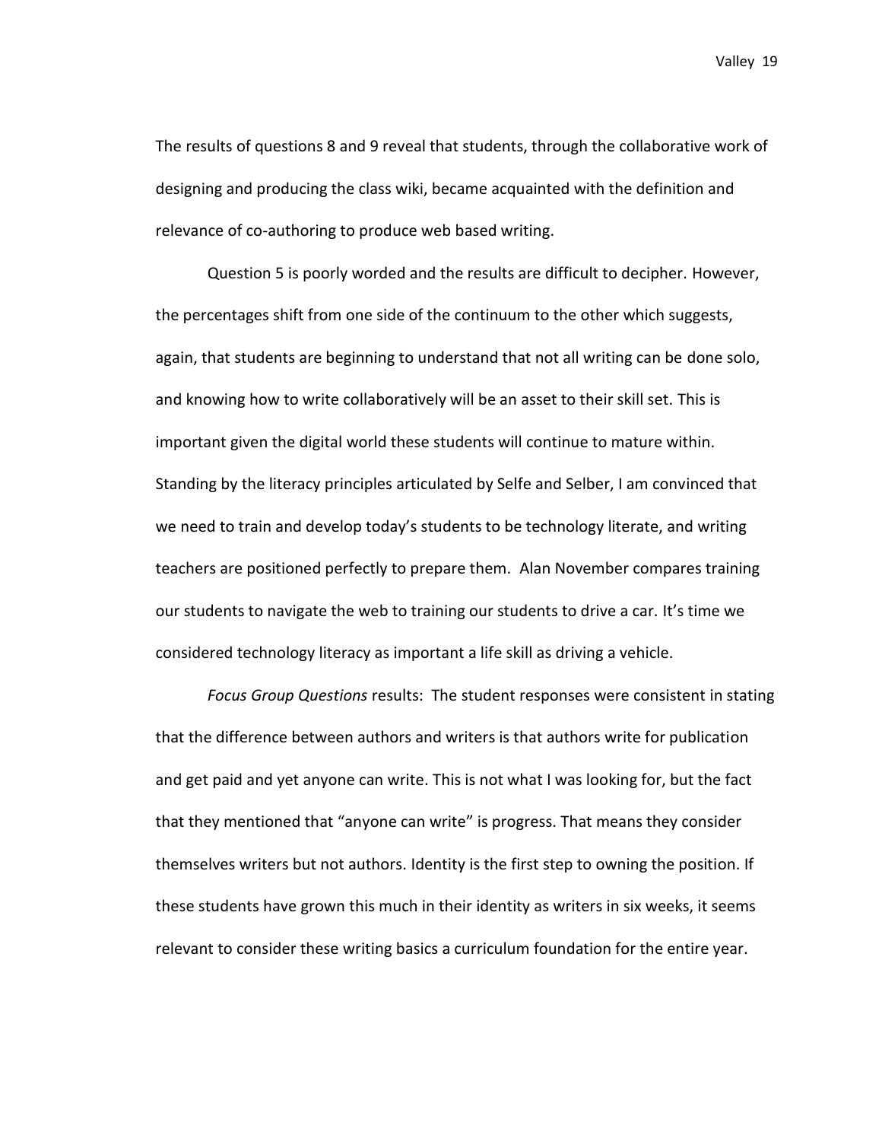The results of questions 8 and 9 reveal that students, through the collaborative work of designing and producing the class wiki, became acquainted with the definition and relevance of co-authoring to produce web based writing.

Question 5 is poorly worded and the results are difficult to decipher. However, the percentages shift from one side of the continuum to the other which suggests, again, that students are beginning to understand that not all writing can be done solo, and knowing how to write collaboratively will be an asset to their skill set. This is important given the digital world these students will continue to mature within. Standing by the literacy principles articulated by Selfe and Selber, I am convinced that we need to train and develop today's students to be technology literate, and writing teachers are positioned perfectly to prepare them. Alan November compares training our students to navigate the web to training our students to drive a car. It's time we considered technology literacy as important a life skill as driving a vehicle.

*Focus Group Questions* results: The student responses were consistent in stating that the difference between authors and writers is that authors write for publication and get paid and yet anyone can write. This is not what I was looking for, but the fact that they mentioned that "anyone can write" is progress. That means they consider themselves writers but not authors. Identity is the first step to owning the position. If these students have grown this much in their identity as writers in six weeks, it seems relevant to consider these writing basics a curriculum foundation for the entire year.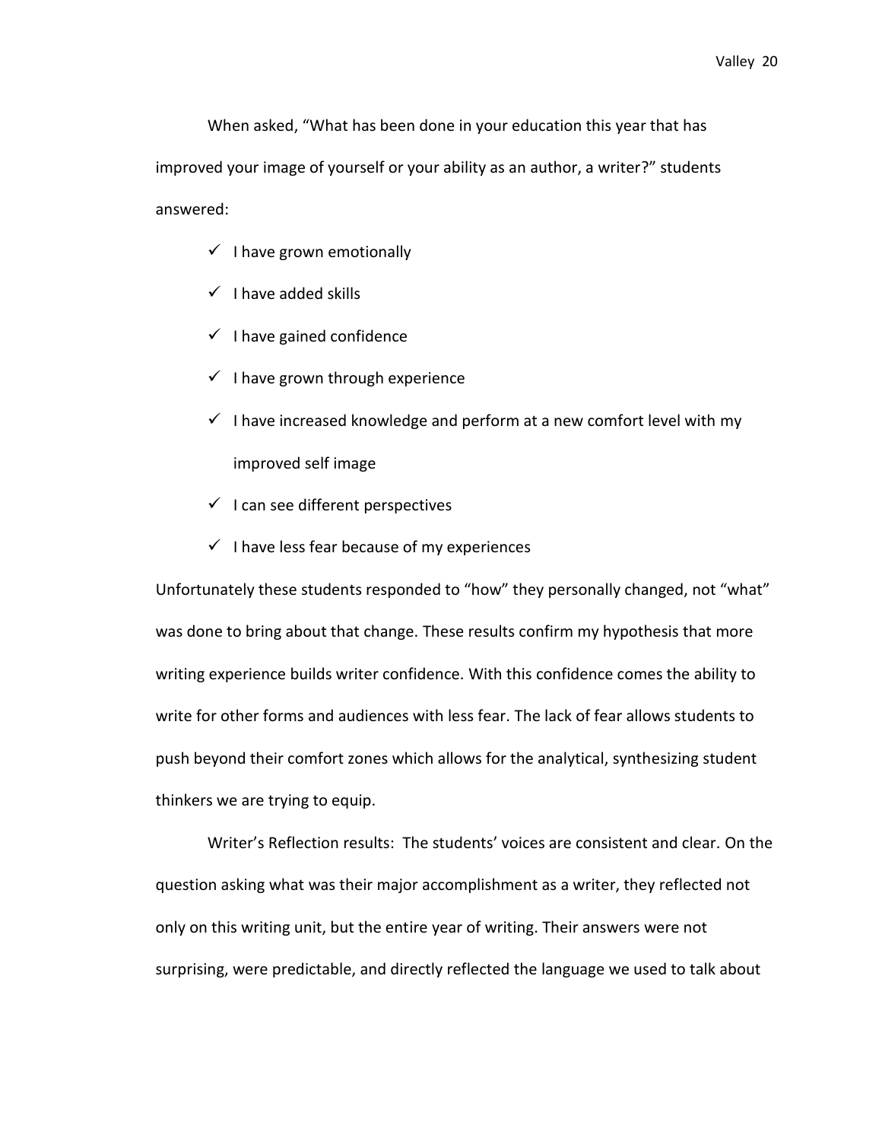When asked, "What has been done in your education this year that has improved your image of yourself or your ability as an author, a writer?" students answered:

- $\checkmark$  I have grown emotionally
- $\checkmark$  I have added skills
- $\checkmark$  I have gained confidence
- $\checkmark$  I have grown through experience
- $\checkmark$  I have increased knowledge and perform at a new comfort level with my improved self image
- $\checkmark$  I can see different perspectives
- $\checkmark$  I have less fear because of my experiences

Unfortunately these students responded to "how" they personally changed, not "what" was done to bring about that change. These results confirm my hypothesis that more writing experience builds writer confidence. With this confidence comes the ability to write for other forms and audiences with less fear. The lack of fear allows students to push beyond their comfort zones which allows for the analytical, synthesizing student thinkers we are trying to equip.

Writer's Reflection results: The students' voices are consistent and clear. On the question asking what was their major accomplishment as a writer, they reflected not only on this writing unit, but the entire year of writing. Their answers were not surprising, were predictable, and directly reflected the language we used to talk about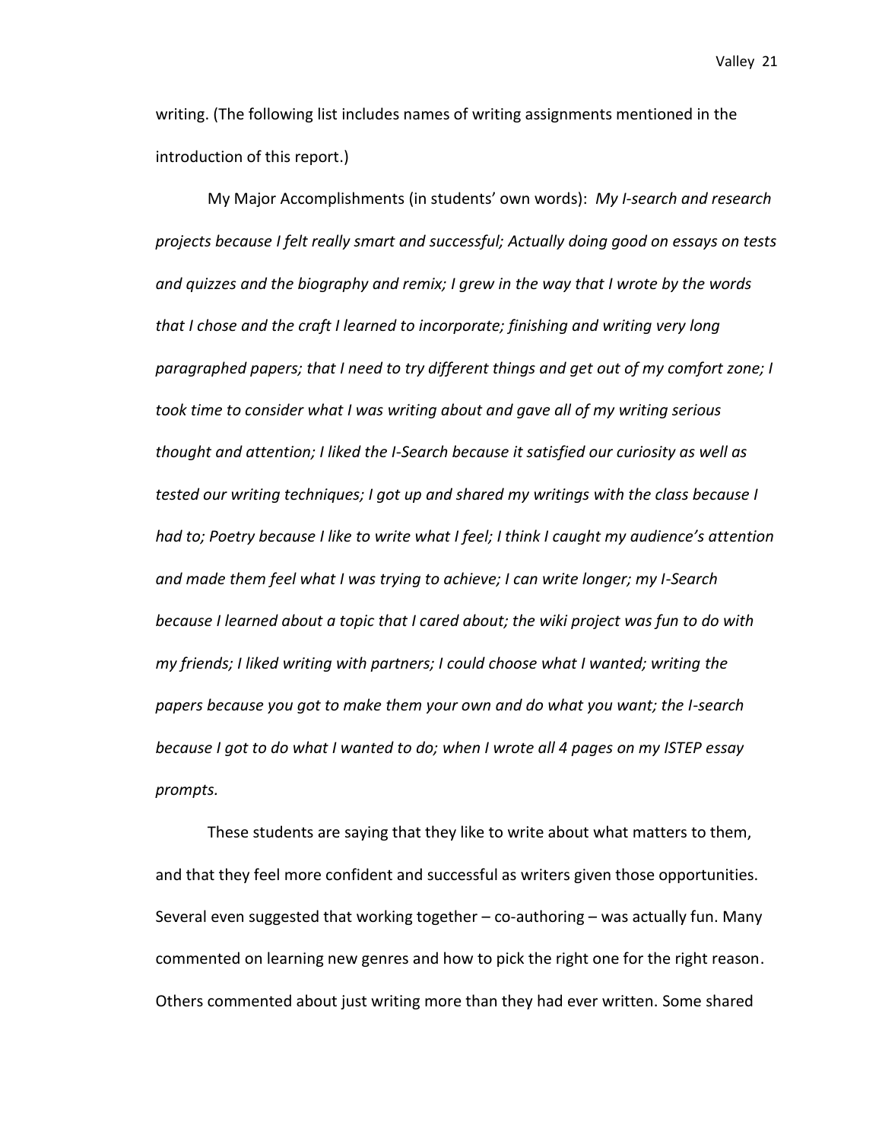writing. (The following list includes names of writing assignments mentioned in the introduction of this report.)

My Major Accomplishments (in students' own words): *My I-search and research projects because I felt really smart and successful; Actually doing good on essays on tests and quizzes and the biography and remix; I grew in the way that I wrote by the words that I chose and the craft I learned to incorporate; finishing and writing very long paragraphed papers; that I need to try different things and get out of my comfort zone; I took time to consider what I was writing about and gave all of my writing serious thought and attention; I liked the I-Search because it satisfied our curiosity as well as tested our writing techniques; I got up and shared my writings with the class because I had to; Poetry because I like to write what I feel; I think I caught my audience's attention and made them feel what I was trying to achieve; I can write longer; my I-Search because I learned about a topic that I cared about; the wiki project was fun to do with my friends; I liked writing with partners; I could choose what I wanted; writing the papers because you got to make them your own and do what you want; the I-search because I got to do what I wanted to do; when I wrote all 4 pages on my ISTEP essay prompts.*

These students are saying that they like to write about what matters to them, and that they feel more confident and successful as writers given those opportunities. Several even suggested that working together – co-authoring – was actually fun. Many commented on learning new genres and how to pick the right one for the right reason. Others commented about just writing more than they had ever written. Some shared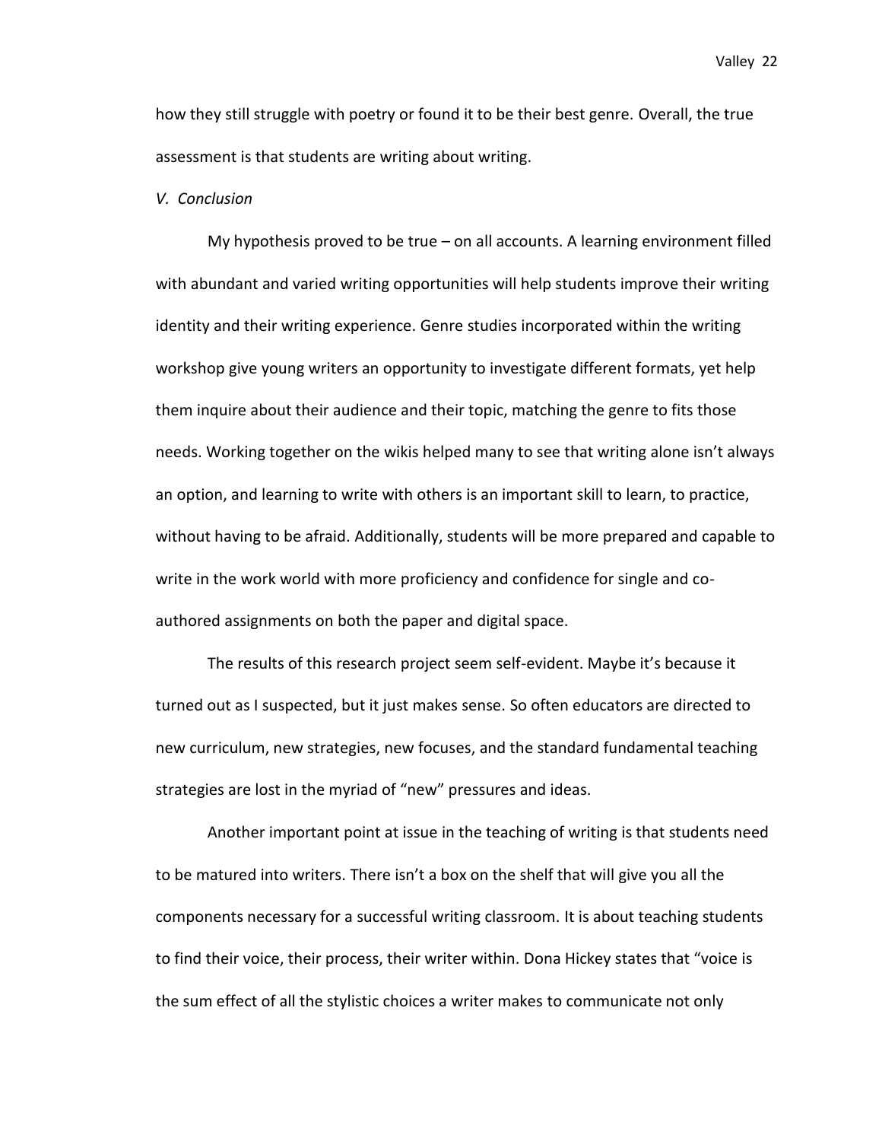how they still struggle with poetry or found it to be their best genre. Overall, the true assessment is that students are writing about writing.

### *V. Conclusion*

My hypothesis proved to be true – on all accounts. A learning environment filled with abundant and varied writing opportunities will help students improve their writing identity and their writing experience. Genre studies incorporated within the writing workshop give young writers an opportunity to investigate different formats, yet help them inquire about their audience and their topic, matching the genre to fits those needs. Working together on the wikis helped many to see that writing alone isn't always an option, and learning to write with others is an important skill to learn, to practice, without having to be afraid. Additionally, students will be more prepared and capable to write in the work world with more proficiency and confidence for single and coauthored assignments on both the paper and digital space.

The results of this research project seem self-evident. Maybe it's because it turned out as I suspected, but it just makes sense. So often educators are directed to new curriculum, new strategies, new focuses, and the standard fundamental teaching strategies are lost in the myriad of "new" pressures and ideas.

Another important point at issue in the teaching of writing is that students need to be matured into writers. There isn't a box on the shelf that will give you all the components necessary for a successful writing classroom. It is about teaching students to find their voice, their process, their writer within. Dona Hickey states that "voice is the sum effect of all the stylistic choices a writer makes to communicate not only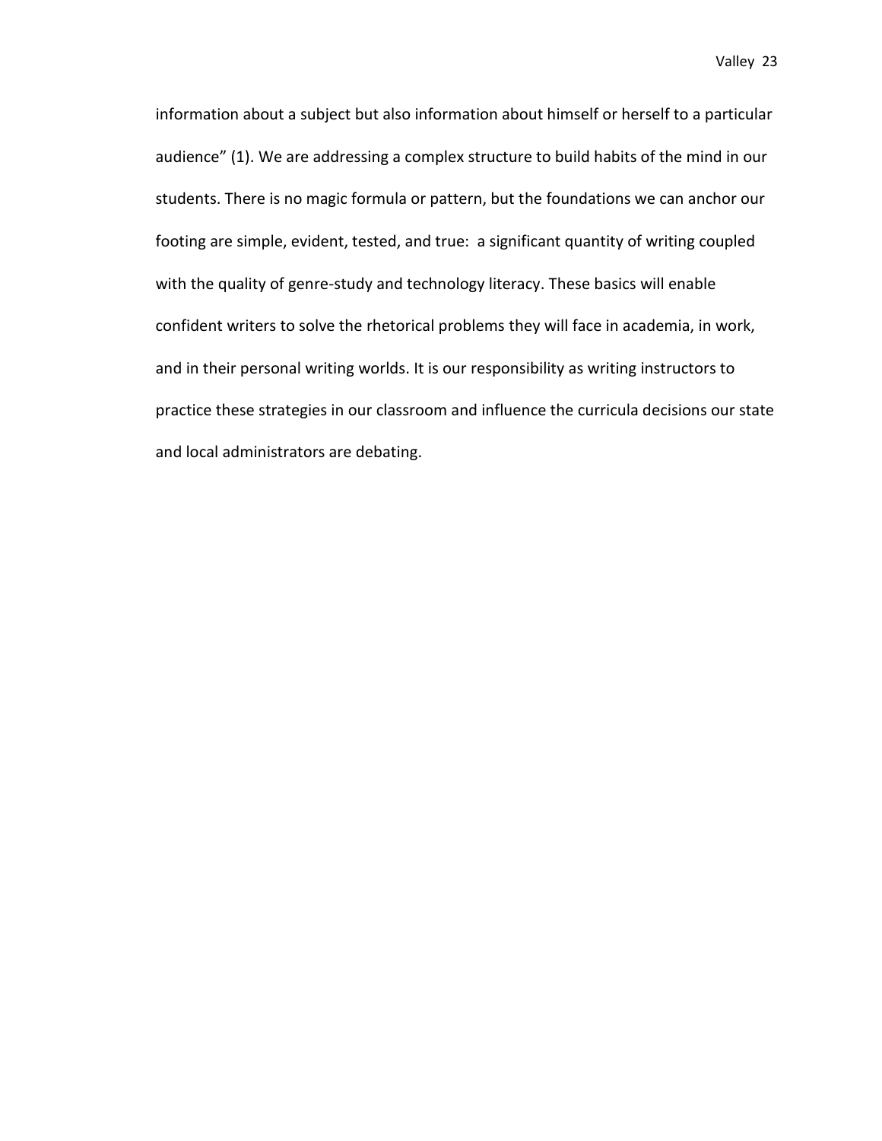information about a subject but also information about himself or herself to a particular audience" (1). We are addressing a complex structure to build habits of the mind in our students. There is no magic formula or pattern, but the foundations we can anchor our footing are simple, evident, tested, and true: a significant quantity of writing coupled with the quality of genre-study and technology literacy. These basics will enable confident writers to solve the rhetorical problems they will face in academia, in work, and in their personal writing worlds. It is our responsibility as writing instructors to practice these strategies in our classroom and influence the curricula decisions our state and local administrators are debating.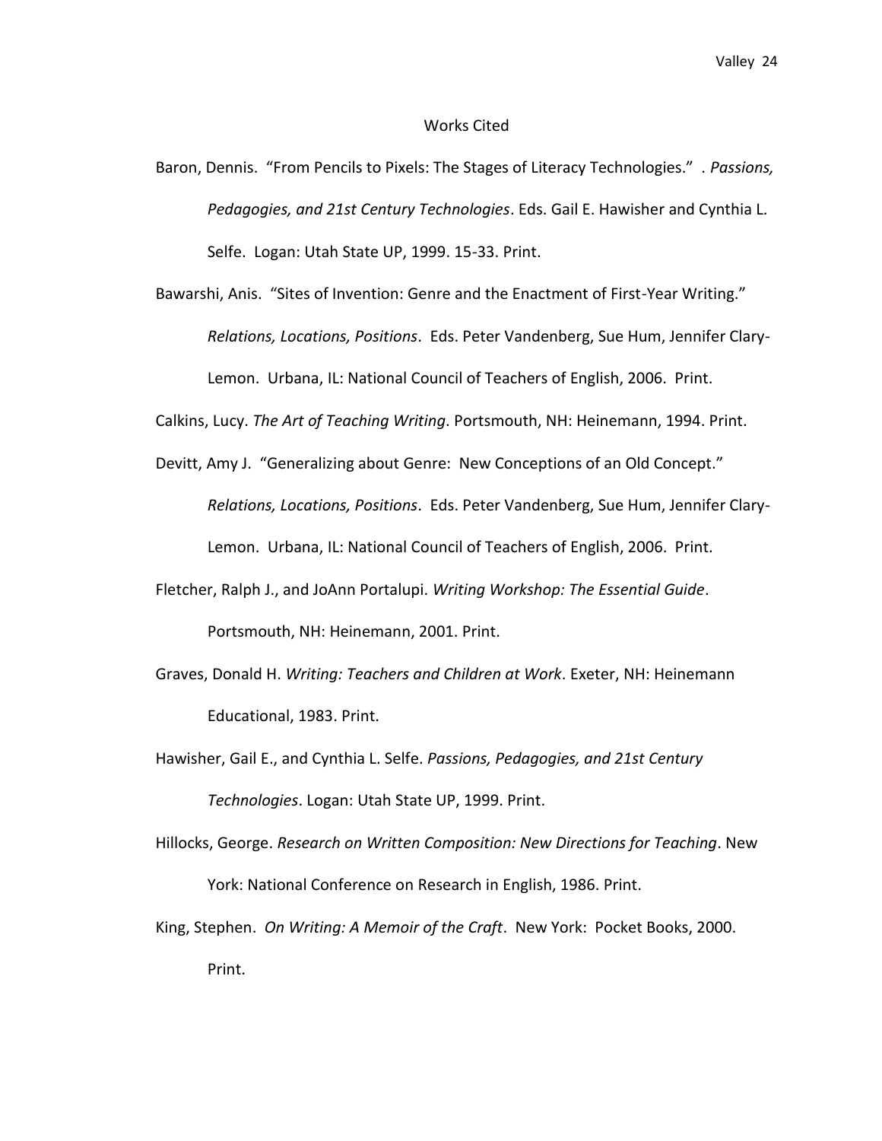### Works Cited

- Baron, Dennis. "From Pencils to Pixels: The Stages of Literacy Technologies." . *Passions, Pedagogies, and 21st Century Technologies*. Eds. Gail E. Hawisher and Cynthia L. Selfe. Logan: Utah State UP, 1999. 15-33. Print.
- Bawarshi, Anis. "Sites of Invention: Genre and the Enactment of First-Year Writing." *Relations, Locations, Positions*. Eds. Peter Vandenberg, Sue Hum, Jennifer Clary-Lemon. Urbana, IL: National Council of Teachers of English, 2006. Print.

Calkins, Lucy. *The Art of Teaching Writing*. Portsmouth, NH: Heinemann, 1994. Print.

- Devitt, Amy J. "Generalizing about Genre: New Conceptions of an Old Concept." *Relations, Locations, Positions*. Eds. Peter Vandenberg, Sue Hum, Jennifer Clary-Lemon. Urbana, IL: National Council of Teachers of English, 2006. Print.
- Fletcher, Ralph J., and JoAnn Portalupi. *Writing Workshop: The Essential Guide*. Portsmouth, NH: Heinemann, 2001. Print.
- Graves, Donald H. *Writing: Teachers and Children at Work*. Exeter, NH: Heinemann Educational, 1983. Print.

Hawisher, Gail E., and Cynthia L. Selfe. *Passions, Pedagogies, and 21st Century Technologies*. Logan: Utah State UP, 1999. Print.

- Hillocks, George. *Research on Written Composition: New Directions for Teaching*. New York: National Conference on Research in English, 1986. Print.
- King, Stephen. *On Writing: A Memoir of the Craft*. New York: Pocket Books, 2000. Print.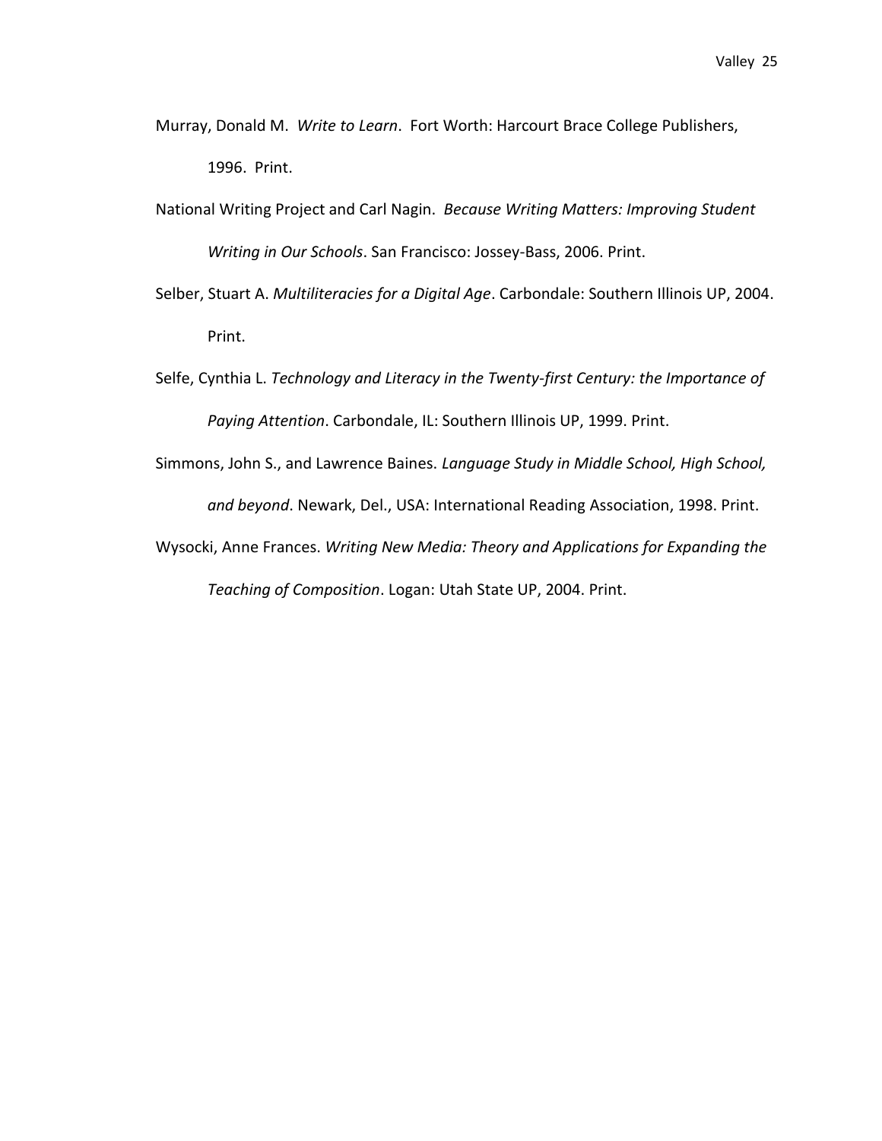- Murray, Donald M. *Write to Learn*. Fort Worth: Harcourt Brace College Publishers, 1996. Print.
- National Writing Project and Carl Nagin. *Because Writing Matters: Improving Student Writing in Our Schools*. San Francisco: Jossey-Bass, 2006. Print.
- Selber, Stuart A. *Multiliteracies for a Digital Age*. Carbondale: Southern Illinois UP, 2004. Print.
- Selfe, Cynthia L. *Technology and Literacy in the Twenty-first Century: the Importance of Paying Attention*. Carbondale, IL: Southern Illinois UP, 1999. Print.
- Simmons, John S., and Lawrence Baines. *Language Study in Middle School, High School, and beyond*. Newark, Del., USA: International Reading Association, 1998. Print.
- Wysocki, Anne Frances. *Writing New Media: Theory and Applications for Expanding the Teaching of Composition*. Logan: Utah State UP, 2004. Print.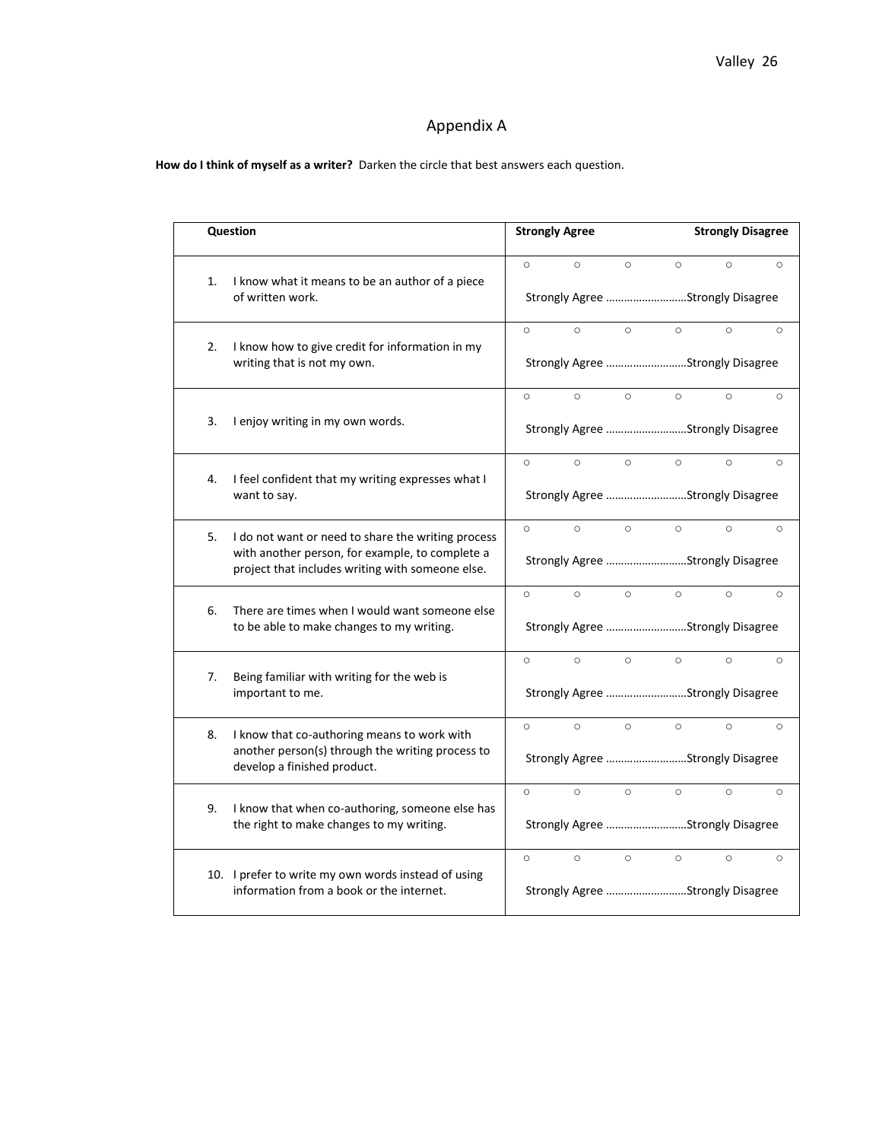# Appendix A

**How do I think of myself as a writer?** Darken the circle that best answers each question.

|    | <b>Question</b>                                                                                                                                           |                                  | <b>Strongly Agree</b>            |         |                                  | <b>Strongly Disagree</b> |         |  |
|----|-----------------------------------------------------------------------------------------------------------------------------------------------------------|----------------------------------|----------------------------------|---------|----------------------------------|--------------------------|---------|--|
| 1. | I know what it means to be an author of a piece                                                                                                           | $\circ$                          | $\circ$                          | $\circ$ | $\circ$                          | $\circ$                  | $\circ$ |  |
|    | of written work.                                                                                                                                          |                                  |                                  |         | Strongly Agree Strongly Disagree |                          |         |  |
| 2. | I know how to give credit for information in my                                                                                                           | $\circ$                          | $\circ$                          | $\circ$ | $\circ$                          | $\circ$                  | $\circ$ |  |
|    | writing that is not my own.                                                                                                                               | Strongly Agree Strongly Disagree |                                  |         |                                  |                          |         |  |
|    |                                                                                                                                                           | $\circ$                          | $\circ$                          | $\circ$ | $\circ$                          | $\circ$                  | $\circ$ |  |
| 3. | I enjoy writing in my own words.                                                                                                                          |                                  | Strongly Agree Strongly Disagree |         |                                  |                          |         |  |
|    |                                                                                                                                                           | $\circ$                          | $\circ$                          | $\circ$ | $\circ$                          | $\circ$                  | $\circ$ |  |
| 4. | I feel confident that my writing expresses what I<br>want to say.                                                                                         |                                  | Strongly Agree Strongly Disagree |         |                                  |                          |         |  |
| 5. | I do not want or need to share the writing process<br>with another person, for example, to complete a<br>project that includes writing with someone else. | $\circ$                          | $\circ$                          | $\circ$ | $\circ$                          | $\circ$                  | $\circ$ |  |
|    |                                                                                                                                                           | Strongly Agree Strongly Disagree |                                  |         |                                  |                          |         |  |
| 6. | There are times when I would want someone else                                                                                                            | $\circ$                          | $\circ$                          | $\circ$ | $\circ$                          | $\circ$                  | $\circ$ |  |
|    | to be able to make changes to my writing.                                                                                                                 | Strongly Agree Strongly Disagree |                                  |         |                                  |                          |         |  |
| 7. | Being familiar with writing for the web is                                                                                                                | $\circ$                          | $\circ$                          | $\circ$ | $\circ$                          | $\circ$                  | $\circ$ |  |
|    | important to me.                                                                                                                                          |                                  | Strongly Agree Strongly Disagree |         |                                  |                          |         |  |
| 8. | I know that co-authoring means to work with<br>another person(s) through the writing process to<br>develop a finished product.                            | $\circ$                          | $\circ$                          | $\circ$ | $\circ$                          | $\circ$                  | $\circ$ |  |
|    |                                                                                                                                                           |                                  | Strongly Agree Strongly Disagree |         |                                  |                          |         |  |
| 9. | I know that when co-authoring, someone else has<br>the right to make changes to my writing.                                                               | $\circ$                          | $\circ$                          | $\circ$ | $\circ$                          | $\circ$                  | $\circ$ |  |
|    |                                                                                                                                                           |                                  | Strongly Agree Strongly Disagree |         |                                  |                          |         |  |
|    | 10. I prefer to write my own words instead of using<br>information from a book or the internet.                                                           | $\circ$                          | $\circ$                          | $\circ$ | $\circ$                          | $\circ$                  | $\circ$ |  |
|    |                                                                                                                                                           |                                  | Strongly Agree Strongly Disagree |         |                                  |                          |         |  |